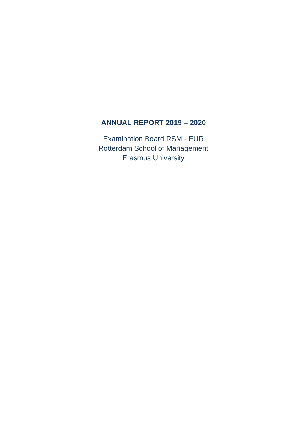## **ANNUAL REPORT 2019 – 2020**

Examination Board RSM - EUR Rotterdam School of Management Erasmus University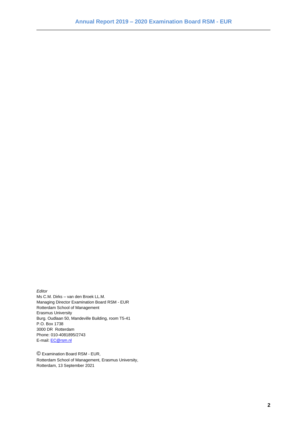*Editor*

Ms C.M. Dirks – van den Broek LL.M. Managing Director Examination Board RSM - EUR Rotterdam School of Management Erasmus University Burg. Oudlaan 50, Mandeville Building, room T5-41 P.O. Box 1738 3000 DR Rotterdam Phone: 010-4081895/2743 E-mail: [EC@rsm.nl](mailto:EC@rsm.nl)

© Examination Board RSM - EUR, Rotterdam School of Management, Erasmus University, Rotterdam, 13 September 2021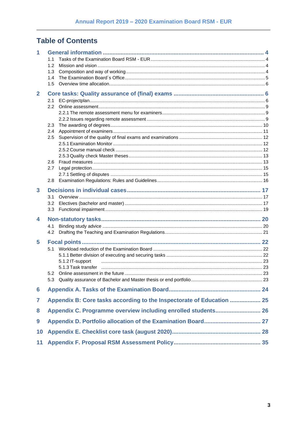# **Table of Contents**

| 1            |                  |                                                                       |  |
|--------------|------------------|-----------------------------------------------------------------------|--|
|              | 1.1              |                                                                       |  |
|              | 1.2              |                                                                       |  |
|              | 1.3              |                                                                       |  |
|              | 1.4<br>1.5       |                                                                       |  |
|              |                  |                                                                       |  |
| $\mathbf{2}$ |                  |                                                                       |  |
|              | 2.1              |                                                                       |  |
|              | 2.2              |                                                                       |  |
|              |                  |                                                                       |  |
|              | 2.3              |                                                                       |  |
|              | 2.4              |                                                                       |  |
|              | 2.5              |                                                                       |  |
|              |                  |                                                                       |  |
|              |                  |                                                                       |  |
|              |                  |                                                                       |  |
|              | 2.6              |                                                                       |  |
|              | 2.7              |                                                                       |  |
|              |                  |                                                                       |  |
|              | 2.8              |                                                                       |  |
| 3            |                  |                                                                       |  |
|              | 3.1              |                                                                       |  |
|              | 3.2              |                                                                       |  |
|              | 3.3 <sub>2</sub> |                                                                       |  |
| 4            |                  |                                                                       |  |
|              | 4.1              |                                                                       |  |
|              | 4.2              |                                                                       |  |
| 5            |                  |                                                                       |  |
|              | 5.1              |                                                                       |  |
|              |                  |                                                                       |  |
|              |                  | 5.1.2 IT-support                                                      |  |
|              |                  |                                                                       |  |
|              | 5.2              |                                                                       |  |
|              |                  |                                                                       |  |
| 6            |                  |                                                                       |  |
| 7            |                  | Appendix B: Core tasks according to the Inspectorate of Education  25 |  |
| 8            |                  | Appendix C. Programme overview including enrolled students 26         |  |
| 9            |                  |                                                                       |  |
| 10           |                  |                                                                       |  |
| 11           |                  |                                                                       |  |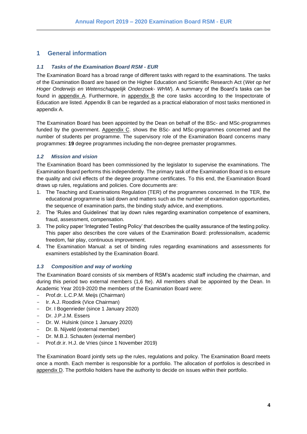## <span id="page-3-0"></span>**1 General information**

#### <span id="page-3-1"></span>*1.1 Tasks of the Examination Board RSM - EUR*

The Examination Board has a broad range of different tasks with regard to the examinations. The tasks of the Examination Board are based on the Higher Education and Scientific Research Act (*Wet op het Hoger Onderwijs en Wetenschappelijk Onderzoek- WHW*). A summary of the Board's tasks can be found in appendix A. Furthermore, in appendix B the core tasks according to the Inspectorate of Education are listed. Appendix B can be regarded as a practical elaboration of most tasks mentioned in appendix A.

The Examination Board has been appointed by the Dean on behalf of the BSc- and MSc-programmes funded by the government. Appendix C. shows the BSc- and MSc-programmes concerned and the number of students per programme. The supervisory role of the Examination Board concerns many programmes: **19** degree programmes including the non-degree premaster programmes.

#### <span id="page-3-2"></span>*1.2 Mission and vision*

The Examination Board has been commissioned by the legislator to supervise the examinations. The Examination Board performs this independently. The primary task of the Examination Board is to ensure the quality and civil effects of the degree programme certificates. To this end, the Examination Board draws up rules, regulations and policies. Core documents are:

- 1. The Teaching and Examinations Regulation (TER) of the programmes concerned. In the TER, the educational programme is laid down and matters such as the number of examination opportunities, the sequence of examination parts, the binding study advice, and exemptions.
- 2. The 'Rules and Guidelines' that lay down rules regarding examination competence of examiners, fraud, assessment, compensation.
- 3. The policy paper 'Integrated Testing Policy' that describes the quality assurance of the testing policy. This paper also describes the core values of the Examination Board: professionalism, academic freedom, fair play, continuous improvement.
- 4. The Examination Manual: a set of binding rules regarding examinations and assessments for examiners established by the Examination Board.

#### <span id="page-3-3"></span>*1.3 Composition and way of working*

The Examination Board consists of six members of RSM's academic staff including the chairman, and during this period two external members (1,6 fte). All members shall be appointed by the Dean. In Academic Year 2019-2020 the members of the Examination Board were:

- Prof.dr. L.C.P.M. Meijs (Chairman)
- Ir. A.J. Roodink (Vice Chairman)
- Dr. I Bogenrieder (since 1 January 2020)
- Dr. J.P.J.M. Essers
- Dr. W. Hulsink (since 1 January 2020)
- Dr. B. Nijveld (external member)
- Dr. M.B.J. Schauten (external member)
- Prof.dr.ir. H.J. de Vries (since 1 November 2019)

The Examination Board jointly sets up the rules, regulations and policy. The Examination Board meets once a month. Each member is responsible for a portfolio. The allocation of portfolios is described in appendix D. The portfolio holders have the authority to decide on issues within their portfolio.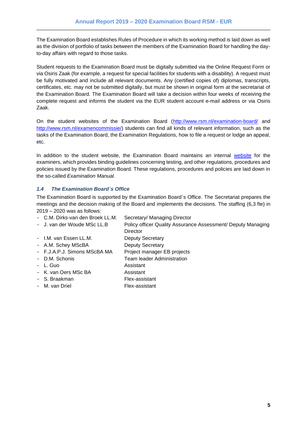The Examination Board establishes Rules of Procedure in which its working method is laid down as well as the division of portfolio of tasks between the members of the Examination Board for handling the dayto-day affairs with regard to those tasks.

Student requests to the Examination Board must be digitally submitted via the Online Request Form or via Osiris Zaak (for example, a request for special facilities for students with a disability). A request must be fully motivated and include all relevant documents. Any (certified copies of) diplomas, transcripts, certificates, etc. may not be submitted digitally, but must be shown in original form at the secretariat of the Examination Board. The Examination Board will take a decision within four weeks of receiving the complete request and informs the student via the EUR student account e-mail address or via Osiris Zaak.

On the student websites of the Examination Board [\(http://www.rsm.nl/examination-board/](http://www.rsm.nl/examination-board/) and [http://www.rsm.nl/examencommissie/\)](http://www.rsm.nl/examencommissie/) students can find all kinds of relevant information, such as the tasks of the Examination Board, the Examination Regulations, how to file a request or lodge an appeal, etc.

In addition to the student website, the Examination Board maintains an internal [website](https://www.rsm.nl/examination-manual/) for the examiners, which provides binding guidelines concerning testing, and other regulations, procedures and policies issued by the Examination Board. These regulations, procedures and policies are laid down in the so-called *Examination Manual*.

#### <span id="page-4-0"></span>*1.4 The Examination Board´s Office*

The Examination Board is supported by the Examination Board´s Office. The Secretariat prepares the meetings and the decision making of the Board and implements the decisions. The staffing (6,3 fte) in 2019 – 2020 was as follows:

- C.M. Dirks-van den Broek LL.M. Secretary/ Managing Director
- J. van der Woude MSc LL.B Policy officer Quality Assurance Assessment/ Deputy Managing **Director**
- I.M. van Essen LL.M. Deputy Secretary
- A.M. Schey MScBA Deputy Secretary
- F.J.A.P.J. Simons MScBA MA Project manager EB projects
- 
- L. Guo Assistant
- K. van Oers MSc BA Assistant
- 
- 
- 
- 
- D.M. Schonis Team leader Administration
	-
	-
- S. Braakman Flex-assistant
- M. van Driel **Flex-assistant**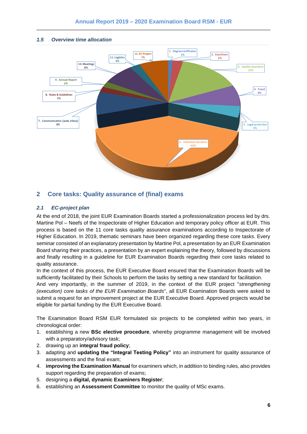

#### <span id="page-5-0"></span>*1.5 Overview time allocation*

### <span id="page-5-1"></span>**2 Core tasks: Quality assurance of (final) exams**

#### <span id="page-5-2"></span>*2.1 EC-project plan*

At the end of 2018, the joint EUR Examination Boards started a professionalization process led by drs. Martine Pol – Neefs of the Inspectorate of Higher Education and temporary policy officer at EUR. This process is based on the 11 core tasks quality assurance examinations according to Inspectorate of Higher Education. In 2019, thematic seminars have been organized regarding these core tasks. Every seminar consisted of an explanatory presentation by Martine Pol, a presentation by an EUR Examination Board sharing their practices, a presentation by an expert explaining the theory, followed by discussions and finally resulting in a guideline for EUR Examination Boards regarding their core tasks related to quality assurance.

In the context of this process, the EUR Executive Board ensured that the Examination Boards will be sufficiently facilitated by their Schools to perform the tasks by setting a new standard for facilitation.

And very importantly, in the summer of 2019, in the context of the EUR project "*strengthening (execution) core tasks of the EUR Examination Boards*", all EUR Examination Boards were asked to submit a request for an improvement project at the EUR Executive Board. Approved projects would be eligible for partial funding by the EUR Executive Board.

The Examination Board RSM EUR formulated six projects to be completed within two years, in chronological order:

- 1. establishing a new **BSc elective procedure**, whereby programme management will be involved with a preparatory/advisory task;
- 2. drawing up an **integral fraud policy**;
- 3. adapting and **updating the "Integral Testing Policy"** into an instrument for quality assurance of assessments and the final exam;
- 4. **improving the Examination Manual** for examiners which, in addition to binding rules, also provides support regarding the preparation of exams;
- 5. designing a **digital, dynamic Examiners Register**;
- 6. establishing an **Assessment Committee** to monitor the quality of MSc exams.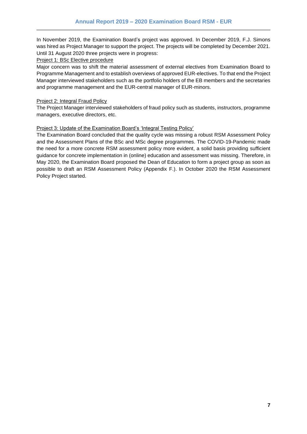In November 2019, the Examination Board's project was approved. In December 2019, F.J. Simons was hired as Project Manager to support the project. The projects will be completed by December 2021. Until 31 August 2020 three projects were in progress:

#### Project 1: BSc Elective procedure

Major concern was to shift the material assessment of external electives from Examination Board to Programme Management and to establish overviews of approved EUR-electives. To that end the Project Manager interviewed stakeholders such as the portfolio holders of the EB members and the secretaries and programme management and the EUR-central manager of EUR-minors.

#### Project 2: Integral Fraud Policy

The Project Manager interviewed stakeholders of fraud policy such as students, instructors, programme managers, executive directors, etc.

#### Project 3: Update of the Examination Board's 'Integral Testing Policy'

The Examination Board concluded that the quality cycle was missing a robust RSM Assessment Policy and the Assessment Plans of the BSc and MSc degree programmes. The COVID-19-Pandemic made the need for a more concrete RSM assessment policy more evident, a solid basis providing sufficient guidance for concrete implementation in (online) education and assessment was missing. Therefore, in May 2020, the Examination Board proposed the Dean of Education to form a project group as soon as possible to draft an RSM Assessment Policy (Appendix F.). In October 2020 the RSM Assessment Policy Project started.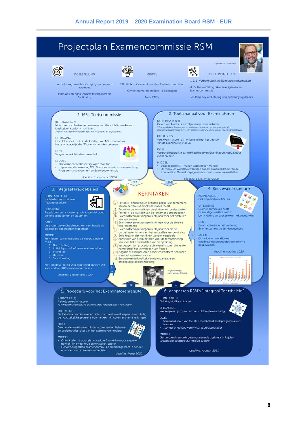#### Projectplan Examencommissie RSM ⋇ DOELSTELLING **6 DEELPROJECTEN MIDDEL** (1, 2, 3) Verbeterslag kwaliteitsborging kerntaken Verbeterslag kwaliteitsborging tentamens & Efficiënter uitvoeren kerntaken Examencommissie (4, 5) Herverdeling taken Management en<br>Examencommissie exament Gericht herverdelen Zorg- & Borgtaken In balans brengen formele takenpakket en<br>facilitering Meer FTE's (6) Efficiency verbetering kwaliteitsborgingsproces 2 Toetsmanual voor Examinatoren 1. MSc Toetscommissie KERNTAAK (4,5,6) KERNTAAK (3,7) Conservance include richtlijnen aan examinatoren<br>T.b.v. opstellen, tentamineren en beoordelen van tentamens gebruikt<br>de Examencommissie o.m. een digitale Examination Manual voor exa Monitoren van toetsen en examens van BSc- & MSc-vakken op kwaliteit en conform richtlijnen.<br>Jaarlijks worden honderden BSc- en MSc-toetsen afgenomen. **UITDAGING** UITDAGING Veel examinatoren zijn onbekend met het gebruik<br>van de Examination Manual Onvoldoende inzicht in de kwaliteit van MSc-tentamens Het is onmogelijk alle MSc-tentamens te screenen DOEL DOEL DOEL<br>Vergroten gebruik & aantrekkelijkheid van Examination Manual door<br>examinatoren Vergroten inzicht in toetskwaliteit MIDDEL **MIDDEL** IIDDEL<br>Ontwikkelen steekproefsgewijze monitor<br>Implementatie invoering MSc Toetscommissie – samenwerking<br>Programmamanagement en Examencommissie inzuret.<br>1946 Beter toegankelijk maken Examination Manual<br>1946 Ontwikkelen workflow waarmee docenten aan de hand van de<br>1947 Examination Manual stapsgewijs toetsen kunnen samenstellen deadline: 1 september 2020 e: 1 september 2020  $3.7$  $14,5,6$ 4. Keuzevakprocedure 3. Integraal Fraudebeleid Registra RABI **KERNTAKEN KERNTAAK (1)** KERNTAAK (9, 10) **ARR** Dekking eindkwalificaties Vaststellen en handhaven<br>fraudeprocedure 匌. (1) Periodiek onderzoeken of totale pakket van tentamens COO UITDAGING samen de vereiste eindkwalificaties toetst Examencionimissie heeft<br>overmatige werklast m.b.t.<br>behandeling verzoeken externe keuzevakken Seriodiek de kwaliteit van de eindwerken onderzoeken<br>Periodiek de kwaliteit van de tentamens onderzoeken<br>Examinatoren ontvangen richtlijnen voor het opstellen **UITDAGING** Regels omtrent fraude en plagiaat zijn niet goed<br>bekend bij docenten en studenten van tentamens DOEI **DOEL** 5. Examinatoren ontvangen richtlijnen voor de afname Vergroten bekendheid regels omtrent fraude en<br>plagiaat bij docenten en studenten Van tentamens<br>
6/ Examinatoren ontvangen richtlijnen voor de be Balans creeren in taakverdeling<br>Examencommissie en Managen ont oordeling tentamens en het vaststellen van de uitslag Script dezember de l'antiche model n'application de un signed de la Aanwijzen van examinatoren voor de tentaminering<br>Van specifieke onderdelen van de opleiding  $\mathbf{1}$ **MIDDEL MIDDEL** MIDDEL<br>Formuleren samenhangend en integraal beleid<br>m.b.t.: Ontwikkelen workflow en<br>goedkeuringsprocedure voor externe<br>keuzevakken ..:<br>| Normstelling<br>| Actief & passief informeren stakeholders<br>| Preventie<br>| Detectie van specifiere onderdelen van de opielding<br>Vastleggen van procedure die examinatoren dienen te<br>hanteren bij het vermoeden van fraude<br>10 Nagaan of examinatoren handelen conform richtlijnen deadline: voorjaar 2020 en regelingen over fraude 11. Borgen van de kwaliteit van de organisatie en Sanctionering Een integraal beleid zou voorbeeld kunnen zijn<br>voor andere EUR-examencommissies Projectmanager:<br>Frans-Joseph Sim d i i i bibliotha deadline: 1 september 2020 6. Aanpassen RSM's "Integraal Toetsbeleid" 5. Procedure voor het Examinatorenregister KERNTAAK (1)<br>Dekking eindkwalificaties **KERNTAAK (8)** Aanwijzen examinatoren<br>RSM heeft momenteel 375 examinatoren, verdeeld over 7 vakgroepen UITDAGING<br>Werkwijze is tijdrovend en niet voldoende eenduidig UITDAGING<br>De Examencommissie moet zich structureel teveel inspannen om tijdig de noodzakelijke gegevens voor het examinatorenregister te verkrijg **DOEL** uu.<br>Standaardiseren van facultair toetsbeleid, toetsprogamma's en<br>toetsen DOEL<br>Structurele werkdrukvermindering binnen het beheers-<br>en onderhoudsproces van het examinatorenregister · Steviger onderbouwen NVAO accreditatiekader **ASSES MIDDEL** MIDDEL<br>• Ontwikkelen structurele procedure & workflow voor soepele beheer- en onderhoud exminatorenregister<br>Herverdeling taken examencommissie en management in beheer<br>en onderhoud examinatorenregister deadline: voorjaar 2021 deadline: herfst 2020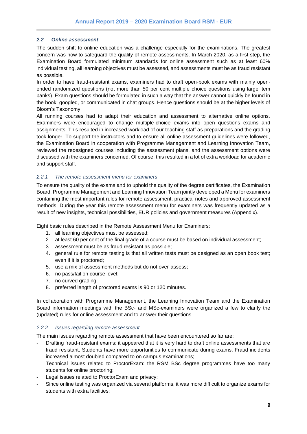#### <span id="page-8-0"></span>*2.2 Online assessment*

The sudden shift to online education was a challenge especially for the examinations. The greatest concern was how to safeguard the quality of remote assessments. In March 2020, as a first step, the Examination Board formulated minimum standards for online assessment such as at least 60% individual testing, all learning objectives must be assessed, and assessments must be as fraud resistant as possible.

In order to have fraud-resistant exams, examiners had to draft open-book exams with mainly openended randomized questions (not more than 50 per cent multiple choice questions using large item banks). Exam questions should be formulated in such a way that the answer cannot quickly be found in the book, googled, or communicated in chat groups. Hence questions should be at the higher levels of Bloom's Taxonomy.

All running courses had to adapt their education and assessment to alternative online options. Examiners were encouraged to change multiple-choice exams into open questions exams and assignments. This resulted in increased workload of our teaching staff as preparations and the grading took longer. To support the instructors and to ensure all online assessment guidelines were followed, the Examination Board in cooperation with Programme Management and Learning Innovation Team, reviewed the redesigned courses including the assessment plans, and the assessment options were discussed with the examiners concerned. Of course, this resulted in a lot of extra workload for academic and support staff.

#### <span id="page-8-1"></span>*2.2.1 The remote assessment menu for examiners*

To ensure the quality of the exams and to uphold the quality of the degree certificates, the Examination Board, Programme Management and Learning Innovation Team jointly developed a Menu for examiners containing the most important rules for remote assessment, practical notes and approved assessment methods. During the year this remote assessment menu for examiners was frequently updated as a result of new insights, technical possibilities, EUR policies and government measures (Appendix).

Eight basic rules described in the Remote Assessment Menu for Examiners:

- 1. all learning objectives must be assessed;
- 2. at least 60 per cent of the final grade of a course must be based on individual assessment;
- 3. assessment must be as fraud resistant as possible;
- 4. general rule for remote testing is that all written tests must be designed as an open book test; even if it is proctored;
- 5. use a mix of assessment methods but do not over-assess;
- 6. no pass/fail on course level;
- 7. no curved grading;
- 8. preferred length of proctored exams is 90 or 120 minutes.

In collaboration with Programme Management, the Learning Innovation Team and the Examination Board information meetings with the BSc- and MSc-examiners were organized a few to clarify the (updated) rules for online assessment and to answer their questions.

#### <span id="page-8-2"></span>*2.2.2 Issues regarding remote assessment*

The main issues regarding remote assessment that have been encountered so far are:

- Drafting fraud-resistant exams: it appeared that it is very hard to draft online assessments that are fraud resistant. Students have more opportunities to communicate during exams. Fraud incidents increased almost doubled compared to on campus examinations;
- Technical issues related to ProctorExam: the RSM BSc degree programmes have too many students for online proctoring;
- Legal issues related to ProctorExam and privacy;
- Since online testing was organized via several platforms, it was more difficult to organize exams for students with extra facilities;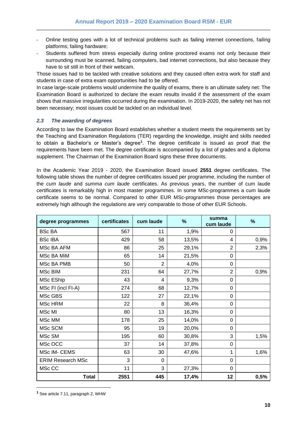- Online testing goes with a lot of technical problems such as failing internet connections, failing platforms; failing hardware;
- Students suffered from stress especially during online proctored exams not only because their surrounding must be scanned, failing computers, bad internet connections, but also because they have to sit still in front of their webcam.

Those issues had to be tackled with creative solutions and they caused often extra work for staff and students in case of extra exam opportunities had to be offered.

In case large-scale problems would undermine the quality of exams, there is an ultimate safety net: The Examination Board is authorized to declare the exam results invalid if the assessment of the exam shows that massive irregularities occurred during the examination. In 2019-2020, the safety net has not been necessary; most issues could be tackled on an individual level.

#### <span id="page-9-0"></span>*2.3 The awarding of degrees*

According to law the Examination Board establishes whether a student meets the requirements set by the Teaching and Examination Regulations (TER) regarding the knowledge, insight and skills needed to obtain a Bachelor's or Master's degree**<sup>1</sup>** . The degree certificate is issued as proof that the requirements have been met. The degree certificate is accompanied by a list of grades and a diploma supplement. The Chairman of the Examination Board signs these three documents.

In the Academic Year 2019 - 2020, the Examination Board issued **2551** degree certificates. The following table shows the number of degree certificates issued per programme, including the number of the *cum laude* and *summa cum laude* certificates. As previous years, the number of cum laude certificates is remarkably high in most master programmes. In some MSc-programmes a cum laude certificate seems to be normal. Compared to other EUR MSc-programmes those percentages are extremely high although the regulations are very comparable to those of other EUR Schools.

| degree programmes        | certificates | cum laude      | $\%$  | summa<br>cum laude | %    |
|--------------------------|--------------|----------------|-------|--------------------|------|
| <b>BSc BA</b>            | 567          | 11             | 1,9%  | 0                  |      |
| <b>BScIBA</b>            | 429          | 58             | 13,5% | 4                  | 0,9% |
| MSc BA AFM               | 86           | 25             | 29,1% | $\overline{2}$     | 2,3% |
| MSc BA MiM               | 65           | 14             | 21,5% | $\mathbf 0$        |      |
| MSc BA PMB               | 50           | $\overline{2}$ | 4,0%  | 0                  |      |
| MSc BIM                  | 231          | 64             | 27,7% | $\overline{2}$     | 0,9% |
| MSc EShip                | 43           | 4              | 9,3%  | 0                  |      |
| MSc FI (incl FI-A)       | 274          | 68             | 12,7% | 0                  |      |
| MSc GBS                  | 122          | 27             | 22,1% | $\mathbf 0$        |      |
| MSc HRM                  | 22           | 8              | 36,4% | 0                  |      |
| MSc MI                   | 80           | 13             | 16,3% | 0                  |      |
| MSc MM                   | 178          | 25             | 14,0% | 0                  |      |
| MSc SCM                  | 95           | 19             | 20,0% | 0                  |      |
| MSc SM                   | 195          | 60             | 30,8% | 3                  | 1,5% |
| MSc OCC                  | 37           | 14             | 37,8% | 0                  |      |
| MSc IM- CEMS             | 63           | 30             | 47,6% | 1                  | 1,6% |
| <b>ERIM Research MSc</b> | 3            | $\overline{0}$ |       | 0                  |      |
| MSc CC                   | 11           | 3              | 27,3% | $\Omega$           |      |
| <b>Total</b>             | 2551         | 445            | 17,4% | 12                 | 0,5% |

**<sup>1</sup>** See article 7.11, paragraph 2, WHW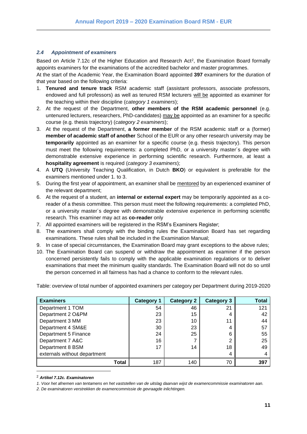#### <span id="page-10-0"></span>*2.4 Appointment of examiners*

Based on Article 7.12c of the Higher Education and Research Act<sup>2</sup>, the Examination Board formally appoints examiners for the examinations of the accredited bachelor and master programmes.

At the start of the Academic Year, the Examination Board appointed **397** examiners for the duration of that year based on the following criteria:

- 1. **Tenured and tenure track** RSM academic staff (assistant professors, associate professors, endowed and full professors) as well as tenured RSM lecturers will be appointed as examiner for the teaching within their discipline (*category 1 examiners*);
- 2. At the request of the Department, **other members of the RSM academic personnel** (e.g. untenured lecturers, researchers, PhD-candidates) may be appointed as an examiner for a specific course (e.g. thesis trajectory) (*category 2 examiners*);
- 3. At the request of the Department, **a former member** of the RSM academic staff or a (former) **member of academic staff of another** School of the EUR or any other research university may be **temporarily** appointed as an examiner for a specific course (e.g. thesis trajectory). This person must meet the following requirements: a completed PhD, or a university master´s degree with demonstrable extensive experience in performing scientific research. Furthermore, at least a **hospitality agreement** is required (*category 3 examiners*);
- 4. A **UTQ** (University Teaching Qualification, in Dutch **BKO**) or equivalent is preferable for the examiners mentioned under 1. to 3.
- 5. During the first year of appointment, an examiner shall be mentored by an experienced examiner of the relevant department;
- 6. At the request of a student, an **internal or external expert** may be temporarily appointed as a coreader of a thesis committee. This person must meet the following requirements: a completed PhD, or a university master´s degree with demonstrable extensive experience in performing scientific research. This examiner may act as **co-reader** only
- 7. All appointed examiners will be registered in the RSM's Examiners Register;
- 8. The examiners shall comply with the binding rules the Examination Board has set regarding examinations. These rules shall be included in the Examination Manual;
- 9. In case of special circumstances, the Examination Board may grant exceptions to the above rules;
- 10. The Examination Board can suspend or withdraw the appointment as examiner if the person concerned persistently fails to comply with the applicable examination regulations or to deliver examinations that meet the minimum quality standards. The Examination Board will not do so until the person concerned in all fairness has had a chance to conform to the relevant rules.

Table: overview of total number of appointed examiners per category per Department during 2019-2020

| <b>Examiners</b>             | <b>Category 1</b> | <b>Category 2</b> | <b>Category 3</b> | Total |
|------------------------------|-------------------|-------------------|-------------------|-------|
| Department 1 TOM             | 54                | 46                | 21                | 121   |
| Department 2 O&PM            | 23                | 15                |                   | 42    |
| Department 3 MM              | 23                | 10                | 11                | 44    |
| Department 4 SM&E            | 30                | 23                |                   | 57    |
| Department 5 Finance         | 24                | 25                | 6                 | 55    |
| Department 7 A&C             | 16                |                   |                   | 25    |
| Department 8 BSM             | 17                | 14                | 18                | 49    |
| externals without department |                   |                   | 4                 |       |
| <b>Total</b>                 | 187               | 140               | 70                | 397   |

<sup>2</sup> *Artikel 7.12c. Examinatoren* 

*1. Voor het afnemen van tentamens en het vaststellen van de uitslag daarvan wijst de examencommissie examinatoren aan.* 

*2. De examinatoren verstrekken de examencommissie de gevraagde inlichtingen.*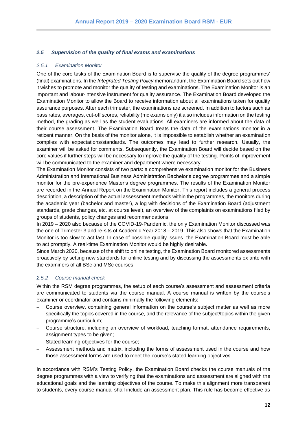#### <span id="page-11-0"></span>*2.5 Supervision of the quality of final exams and examinations*

#### <span id="page-11-1"></span>*2.5.1 Examination Monitor*

One of the core tasks of the Examination Board is to supervise the quality of the degree programmes' (final) examinations. In the *Integrated Testing Policy* memorandum, the Examination Board sets out how it wishes to promote and monitor the quality of testing and examinations. The Examination Monitor is an important and labour-intensive instrument for quality assurance. The Examination Board developed the Examination Monitor to allow the Board to receive information about all examinations taken for quality assurance purposes. After each trimester, the examinations are screened. In addition to factors such as pass rates, averages, cut-off scores, reliability (mc exams only) it also includes information on the testing method, the grading as well as the student evaluations. All examiners are informed about the data of their course assessment. The Examination Board treats the data of the examinations monitor in a reticent manner. On the basis of the monitor alone, it is impossible to establish whether an examination complies with expectations/standards. The outcomes may lead to further research. Usually, the examiner will be asked for comments. Subsequently, the Examination Board will decide based on the core values if further steps will be necessary to improve the quality of the testing. Points of improvement will be communicated to the examiner and department where necessary.

The Examination Monitor consists of two parts: a comprehensive examination monitor for the Business Administration and International Business Administration Bachelor's degree programmes and a simple monitor for the pre-experience Master's degree programmes. The results of the Examination Monitor are recorded in the Annual Report on the Examination Monitor. This report includes a general process description, a description of the actual assessment methods within the programmes, the monitors during the academic year (bachelor and master), a log with decisions of the Examination Board (adjustment standards, grade changes, etc. at course level), an overview of the complaints on examinations filed by groups of students, policy changes and recommendations.

In 2019 – 2020 also because of the COVID-19-Pandemic, the only Examination Monitor discussed was the one of Trimester 3 and re-sits of Academic Year 2018 – 2019. This also shows that the Examination Monitor is too slow to act fast. In case of possible quality issues, the Examination Board must be able to act promptly. A real-time Examination Monitor would be highly desirable.

Since March 2020, because of the shift to online testing, the Examination Board monitored assessments proactively by setting new standards for online testing and by discussing the assessments ex ante with the examiners of all BSc and MSc courses.

#### <span id="page-11-2"></span>*2.5.2 Course manual check*

Within the RSM degree programmes, the setup of each course's assessment and assessment criteria are communicated to students via the course manual. A course manual is written by the course's examiner or coordinator and contains minimally the following elements:

- − Course overview, containing general information on the course's subject matter as well as more specifically the topics covered in the course, and the relevance of the subject/topics within the given programme's curriculum;
- − Course structure, including an overview of workload, teaching format, attendance requirements, assignment types to be given;
- Stated learning objectives for the course;
- Assessment methods and matrix, including the forms of assessment used in the course and how those assessment forms are used to meet the course's stated learning objectives.

In accordance with RSM's Testing Policy, the Examination Board checks the course manuals of the degree programmes with a view to verifying that the examinations and assessment are aligned with the educational goals and the learning objectives of the course. To make this alignment more transparent to students, every course manual shall include an assessment plan. This rule has become effective as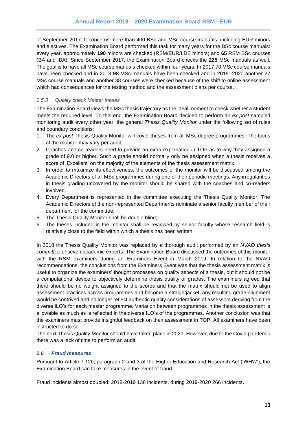of September 2017. It concerns more than 400 BSc and MSc course manuals, including EUR minors and electives. The Examination Board performed this task for many years for the BSc course manuals: every year. approximately **190** minors are checked (RSM/EUR/LDE minors) and **65** RSM BSc courses (BA and IBA). Since September 2017, the Examination Board checks the **225** MSc manuals as well. The goal is to have all MSc course manuals checked within four years. In 2017 70 MSc course manuals have been checked and in 2018 **98** MSc-manuals have been checked and in 2019 -2020 another 27 MSc course manuals and another 38 courses were checked because of the shift to online assessment which had consequences for the testing method and the assessment plans per course.

#### <span id="page-12-0"></span>*2.5.3 Quality check Master theses*

The Examination Board views the MSc thesis trajectory as the ideal moment to check whether a student meets the required level. To this end, the Examination Board decided to perform an *ex post* sampled monitoring audit every other year: the general *Thesis Quality Monitor* under the following set of rules and boundary conditions:

- 1. The *ex post* Thesis Quality Monitor will cover theses from all MSc degree programmes. The focus of the monitor may vary per audit;
- 2. Coaches and co-readers need to provide an extra explanation in TOP as to why they assigned a grade of 9.0 or higher. Such a grade should normally only be assigned when a thesis receives a score of 'Excellent' on the majority of the elements of the thesis assessment matrix;
- 3. In order to maximize its effectiveness, the outcomes of the monitor will be discussed among the Academic Directors of all MSc programmes during one of their periodic meetings. Any irregularities in thesis grading uncovered by the monitor should be shared with the coaches and co-readers involved.
- 4. Every Department is represented in the committee executing the Thesis Quality Monitor. The Academic Directors of the non-represented Departments nominate a senior faculty member of their department for the committee.
- 5. The Thesis Quality Monitor shall be double blind;
- 6. The theses included in the monitor shall be reviewed by senior faculty whose research field is relatively close to the field within which a thesis has been written;

In 2018 the Thesis Quality Monitor was replaced by a thorough audit performed by an *NVAO thesis committee* of seven academic experts. The Examination Board discussed the outcomes of this monitor with the RSM examiners during an Examiners Event in March 2019. In relation to the NVAO recommendations, the conclusions from the Examiners Event was that the thesis assessment matrix is useful to organize the examiners' thought processes on quality aspects of a thesis, but it should not be a computational device to objectively determine thesis quality or grades. The examiners agreed that there should be no weight assigned to the scores and that the matrix should not be used to align assessment practices across programmes and become a straightjacket; any resulting grade alignment would be contrived and no longer reflect authentic quality considerations of assessors deriving from the diverse ILO's for each master programme. Variation between programmes in the thesis assessment is allowable as much as is reflected in the diverse ILO's of the programmes. Another conclusion was that the examiners must provide insightful feedback on their assessment in TOP. All examiners have been instructed to do so.

The next Thesis Quality Monitor should have taken place in 2020. However, due to the Covid pandemic there was a lack of time to perform an audit.

#### <span id="page-12-1"></span>*2.6 Fraud measures*

Pursuant to Article 7.12b, paragraph 2 and 3 of the Higher Education and Research Act ('WHW'), the Examination Board can take measures in the event of fraud.

Fraud incidents almost doubled: 2018-2019 136 incidents, during 2019-2020 266 incidents.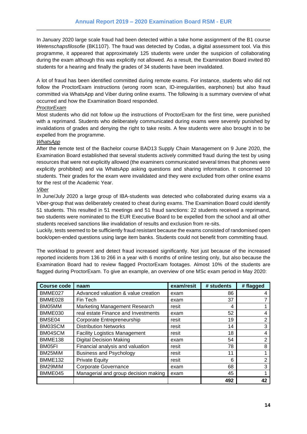In January 2020 large scale fraud had been detected within a take home assignment of the B1 course *Wetenschapsfilosofie* (BK1107). The fraud was detected by Codas, a digital assessment tool. Via this programme, it appeared that approximately 125 students were under the suspicion of collaborating during the exam although this was explicitly not allowed. As a result, the Examination Board invited 80 students for a hearing and finally the grades of 34 students have been invalidated.

A lot of fraud has been identified committed during remote exams. For instance, students who did not follow the ProctorExam instructions (wrong room scan, ID-irregularities, earphones) but also fraud committed via WhatsApp and Viber during online exams. The following is a summary overview of what occurred and how the Examination Board responded.

#### *ProctorExam*

Most students who did not follow up the instructions of ProctorExam for the first time, were punished with a reprimand. Students who deliberately communicated during exams were severely punished by invalidations of grades and denying the right to take resits. A few students were also brought in to be expelled from the programme.

#### *WhatsApp*

After the remote test of the Bachelor course BAD13 Supply Chain Management on 9 June 2020, the Examination Board established that several students actively committed fraud during the test by using resources that were not explicitly allowed (the examiners communicated several times that phones were explicitly prohibited) and via WhatsApp asking questions and sharing information. It concerned 10 students. Their grades for the exam were invalidated and they were excluded from other online exams for the rest of the Academic Year.

#### *Viber*

In June/July 2020 a large group of IBA-students was detected who collaborated during exams via a Viber-group that was deliberately created to cheat during exams. The Examination Board could identify 51 students. This resulted in 51 meetings and 51 fraud sanctions: 22 students received a reprimand, two students were nominated to the EUR Executive Board to be expelled from the school and all other students received sanctions like invalidation of results and exclusion from re-sits.

Luckily, tests seemed to be sufficiently fraud resistant because the exams consisted of randomised open book/open-ended questions using large item banks. Students could not benefit from committing fraud.

The workload to prevent and detect fraud increased significantly. Not just because of the increased reported incidents from 136 to 266 in a year with 6 months of online testing only, but also because the Examination Board had to review flagged ProctorExam footages. Almost 10% of the students are flagged during ProctorExam. To give an example, an overview of one MSc exam period in May 2020:

| <b>Course code</b> | naam                                 | exam/resit | # students | # flagged      |
|--------------------|--------------------------------------|------------|------------|----------------|
| BMME027            | Advanced valuation & value creation  | exam       | 86         | 4              |
| BMME028            | Fin Tech                             | exam       | 37         |                |
| BM05MM             | Marketing Management Research        | resit      | 4          |                |
| BMME030            | real estate Finance and Investments  | exam       | 52         | 4              |
| BMSE04             | Corporate Entrepreneurship           | resit      | 19         | $\overline{2}$ |
| BM03SCM            | <b>Distribution Networks</b>         | resit      | 14         | 3              |
| BM04SCM            | <b>Facility Logistics Management</b> | resit      | 18         | 4              |
| BMME138            | <b>Digital Decision Making</b>       | exam       | 54         | 2              |
| BM05FI             | Financial analysis and valuation     | resit      | 78         | 8              |
| BM25MiM            | <b>Business and Psychology</b>       | resit      | 11         |                |
| <b>BMME132</b>     | <b>Private Equity</b>                | resit      | 6          | $\overline{2}$ |
| BM29MIM            | Corporate Governance                 | exam       | 68         | 3              |
| BMME045            | Managerial and group decision making | exam       | 45         |                |
|                    |                                      |            | 492        | 42             |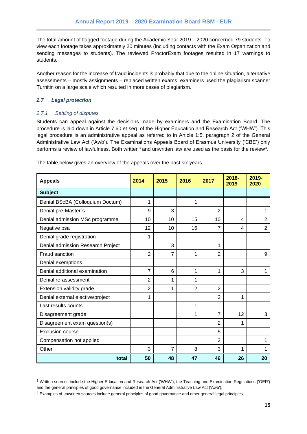The total amount of flagged footage during the Academic Year 2019 – 2020 concerned 79 students. To view each footage takes approximately 20 minutes (including contacts with the Exam Organization and sending messages to students). The reviewed ProctorExam footages resulted in 17 warnings to students.

Another reason for the increase of fraud incidents is probably that due to the online situation, alternative assessments – mostly assignments – replaced written exams: examiners used the plagiarism scanner Turnitin on a large scale which resulted in more cases of plagiarism.

#### <span id="page-14-0"></span>*2.7 Legal protection*

#### <span id="page-14-1"></span>*2.7.1 Settling of disputes*

Students can appeal against the decisions made by examiners and the Examination Board. The procedure is laid down in Article 7.60 et seq. of the Higher Education and Research Act ('WHW'). This legal procedure is an administrative appeal as referred to in Article 1:5, paragraph 2 of the General Administrative Law Act ('Awb'). The Examinations Appeals Board of Erasmus University ('CBE') only performs a review of lawfulness. Both written $^3$  and unwritten law are used as the basis for the review $^4\!$ .

| The table below gives an overview of the appeals over the past six years. |  |  |
|---------------------------------------------------------------------------|--|--|
|                                                                           |  |  |

| <b>Appeals</b>                    | 2014           | 2015           | 2016           | 2017           | $2018 -$<br>2019 | 2019-<br>2020  |
|-----------------------------------|----------------|----------------|----------------|----------------|------------------|----------------|
| <b>Subject</b>                    |                |                |                |                |                  |                |
| Denial BScBA (Colloquium Doctum)  | 1              |                | 1              |                |                  |                |
| Denial pre-Master's               | 9              | 3              |                | $\overline{2}$ |                  | 1              |
| Denial admission MSc programme    | 10             | 10             | 15             | 10             | 4                | $\overline{2}$ |
| Negative bsa                      | 12             | 10             | 16             | 7              | 4                | $\overline{2}$ |
| Denial grade registration         | 1              |                |                |                |                  |                |
| Denial admission Research Project |                | 3              |                | 1              |                  |                |
| Fraud sanction                    | $\overline{2}$ | $\overline{7}$ | 1              | $\overline{2}$ |                  | 9              |
| Denial exemptions                 |                |                |                |                |                  |                |
| Denial additional examination     | $\overline{7}$ | 6              | 1              | 1              | 3                | 1              |
| Denial re-assessment              | $\overline{2}$ | 1              | 1              |                |                  |                |
| Extension validity grade          | $\overline{2}$ | 1              | $\overline{2}$ | $\overline{2}$ |                  |                |
| Denial external elective/project  | 1              |                |                | $\overline{2}$ | 1                |                |
| Last results counts               |                |                | 1              |                |                  |                |
| Disagreement grade                |                |                | 1              | 7              | 12               | 3              |
| Disagreement exam question(s)     |                |                |                | 2              | 1                |                |
| <b>Exclusion course</b>           |                |                |                | 5              |                  |                |
| Compensation not applied          |                |                |                | $\overline{2}$ |                  | 1              |
| Other                             | 3              | $\overline{7}$ | 8              | 3              | 1                | 1              |
| total                             | 50             | 48             | 47             | 46             | 26               | 20             |

<sup>3</sup> Written sources include the Higher Education and Research Act ('WHW'), the Teaching and Examination Regulations ('OER') and the general principles of good governance included in the General Administrative Law Act ('Awb').

<sup>4</sup> Examples of unwritten sources include general principles of good governance and other general legal principles.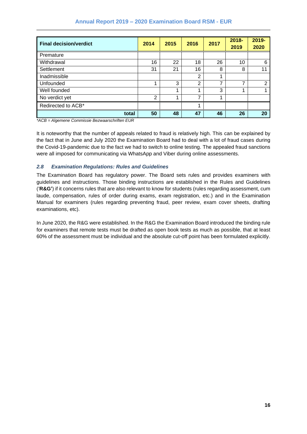| <b>Final decision/verdict</b> | 2014           | 2015 | 2016 | 2017 | $2018 -$<br>2019 | 2019-<br>2020 |
|-------------------------------|----------------|------|------|------|------------------|---------------|
| Premature                     |                |      |      |      |                  |               |
| Withdrawal                    | 16             | 22   | 18   | 26   | 10               | 6             |
| Settlement                    | 31             | 21   | 16   | 8    | 8                | 11            |
| Inadmissible                  |                |      | 2    |      |                  |               |
| Unfounded                     | 4              | 3    | 2    | ⇁    | 7                | 2             |
| Well founded                  |                |      | 1    | 3    | ◢                |               |
| No verdict yet                | $\overline{2}$ |      | 7    |      |                  |               |
| Redirected to ACB*            |                |      | 1    |      |                  |               |
| total                         | 50             | 48   | 47   | 46   | 26               | 20            |

*\*ACB = Algemene Commissie Bezwaarschriften EUR*

It is noteworthy that the number of appeals related to fraud is relatively high. This can be explained by the fact that in June and July 2020 the Examination Board had to deal with a lot of fraud cases during the Covid-19-pandemic due to the fact we had to switch to online testing. The appealed fraud sanctions were all imposed for communicating via WhatsApp and Viber during online assessments.

#### <span id="page-15-0"></span>*2.8 Examination Regulations: Rules and Guidelines*

The Examination Board has regulatory power. The Board sets rules and provides examiners with guidelines and instructions. Those binding instructions are established in the Rules and Guidelines ('**R&G'**) if it concerns rules that are also relevant to know for students (rules regarding assessment, cum laude, compensation, rules of order during exams, exam registration, etc.) and in the Examination Manual for examiners (rules regarding preventing fraud, peer review, exam cover sheets, drafting examinations, etc).

In June 2020, the R&G were established. In the R&G the Examination Board introduced the binding rule for examiners that remote tests must be drafted as open book tests as much as possible, that at least 60% of the assessment must be individual and the absolute cut-off point has been formulated explicitly.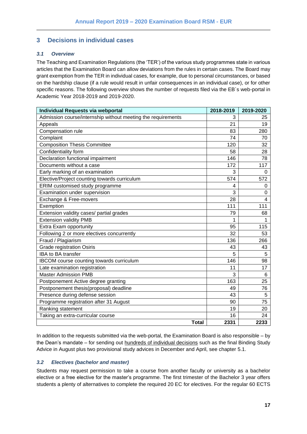### <span id="page-16-0"></span>**3 Decisions in individual cases**

#### <span id="page-16-1"></span>*3.1 Overview*

The Teaching and Examination Regulations (the 'TER') of the various study programmes state in various articles that the Examination Board can allow deviations from the rules in certain cases. The Board may grant exemption from the TER in individual cases, for example, due to personal circumstances, or based on the hardship clause (if a rule would result in unfair consequences in an individual case), or for other specific reasons. The following overview shows the number of requests filed via the EB´s web-portal in Academic Year 2018-2019 and 2019-2020.

| <b>Individual Requests via webportal</b>                     | 2018-2019 | 2019-2020 |
|--------------------------------------------------------------|-----------|-----------|
| Admission course/internship without meeting the requirements | 3         | 25        |
| Appeals                                                      | 21        | 19        |
| Compensation rule                                            | 83        | 280       |
| Complaint                                                    | 74        | 70        |
| <b>Composition Thesis Committee</b>                          | 120       | 32        |
| Confidentiality form                                         | 58        | 28        |
| Declaration functional impairment                            | 146       | 78        |
| Documents without a case                                     | 172       | 117       |
| Early marking of an examination                              | 3         | 0         |
| Elective/Project counting towards curriculum                 | 574       | 572       |
| ERIM customised study programme                              | 4         | 0         |
| Examination under supervision                                | 3         | 0         |
| Exchange & Free-movers                                       | 28        | 4         |
| Exemption                                                    | 111       | 111       |
| Extension validity cases/ partial grades                     | 79        | 68        |
| <b>Extension validity PMB</b>                                | 1         | 1         |
| Extra Exam opportunity                                       | 95        | 115       |
| Following 2 or more electives concurrently                   | 32        | 53        |
| Fraud / Plagiarism                                           | 136       | 266       |
| <b>Grade registration Osiris</b>                             | 43        | 43        |
| <b>IBA to BA transfer</b>                                    | 5         | 5         |
| IBCOM course counting towards curriculum                     | 146       | 98        |
| Late examination registration                                | 11        | 17        |
| <b>Master Admission PMB</b>                                  | 3         | 6         |
| Postponement Active degree granting                          | 163       | 25        |
| Postponement thesis(proposal) deadline                       | 49        | 76        |
| Presence during defense session                              | 43        | 5         |
| Programme registration after 31 August                       | 90        | 75        |
| Ranking statement                                            | 19        | 20        |
| Taking an extra-curricular course                            | 16        | 24        |
| <b>Total</b>                                                 | 2331      | 2233      |

In addition to the requests submitted via the web-portal, the Examination Board is also responsible – by the Dean's mandate – for sending out hundreds of individual decisions such as the final Binding Study Advice in August plus two provisional study advices in December and April, see chapter 5.1.

#### <span id="page-16-2"></span>*3.2 Electives (bachelor and master)*

Students may request permission to take a course from another faculty or university as a bachelor elective or a free elective for the master's programme. The first trimester of the Bachelor 3 year offers students a plenty of alternatives to complete the required 20 EC for electives. For the regular 60 ECTS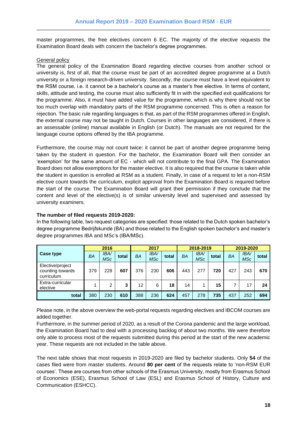master programmes, the free electives concern 6 EC. The majority of the elective requests the Examination Board deals with concern the bachelor's degree programmes.

#### General policy

The general policy of the Examination Board regarding elective courses from another school or university is, first of all, that the course must be part of an accredited degree programme at a Dutch university or a foreign research-driven university. Secondly, the course must have a level equivalent to the RSM course, i.e. it cannot be a bachelor's course as a master's free elective. In terms of content, skills, attitude and testing, the course must also sufficiently fit in with the specified exit qualifications for the programme. Also, it must have added value for the programme, which is why there should not be too much overlap with mandatory parts of the RSM programme concerned. This is often a reason for rejection. The basic rule regarding languages is that, as part of the RSM programmes offered in English, the external course may not be taught in Dutch. Courses in other languages are considered, if there is an assessable (online) manual available in English (or Dutch). The manuals are not required for the language course options offered by the IBA programme.

Furthermore, the course may not count twice: it cannot be part of another degree programme being taken by the student in question. For the bachelor, the Examination Board will then consider an 'exemption' for the same amount of EC - which will not contribute to the final GPA. The Examination Board does not allow exemptions for the master elective. It is also required that the course is taken while the student in question is enrolled at RSM as a student. Finally, in case of a request to let a non-RSM elective count towards the curriculum, explicit approval from the Examination Board is required before the start of the course. The Examination Board will grant their permission if they conclude that the content and level of the elective(s) is of similar university level and supervised and assessed by university examiners.

#### **The number of filed requests 2019-2020:**

In the following table, two request categories are specified: those related to the Dutch spoken bachelor's degree programme Bedrijfskunde (BA) and those related to the English spoken bachelor's and master's degree programmes IBA and MSc's (IBA/MSc).

|                                                    | 2016 |                    | 2017  |     |                    | 2018-2019 |     |                           | 2019-2020 |           |                    |       |
|----------------------------------------------------|------|--------------------|-------|-----|--------------------|-----------|-----|---------------------------|-----------|-----------|--------------------|-------|
| <b>Case type</b>                                   | BA   | <b>IBA/</b><br>MSc | total | BA  | <b>IBA/</b><br>MSc | total     | ΒA  | <b>IBA/</b><br><b>MSc</b> | total     | <b>BA</b> | IBA/<br><b>MSc</b> | total |
| Elective/project<br>counting towards<br>curriculum | 379  | 228                | 607   | 376 | 230                | 606       | 443 | 277                       | 720       | 427       | 243                | 670   |
| Extra-curricular<br>elective                       |      | 2                  | 3     | 12  | 6                  | 18        | 14  |                           | 15        |           | 17                 | 24    |
| total                                              | 380  | 230                | 610   | 388 | 236                | 624       | 457 | 278                       | 735       | 437       | 252                | 694   |

Please note, in the above overview the web-portal requests regarding electives and IBCOM courses are added together.

Furthermore, in the summer period of 2020, as a result of the Corona pandemic and the large workload, the Examination Board had to deal with a processing backlog of about two months. We were therefore only able to process most of the requests submitted during this period at the start of the new academic year. These requests are not included in the table above.

The next table shows that most requests in 2019-2020 are filed by bachelor students. Only **54** of the cases filed were from master students. Around **80 per cent** of the requests relate to 'non-RSM EUR courses'. These are courses from other schools of the Erasmus University, mostly from Erasmus School of Economics (ESE), Erasmus School of Law (ESL) and Erasmus School of History, Culture and Communication (ESHCC).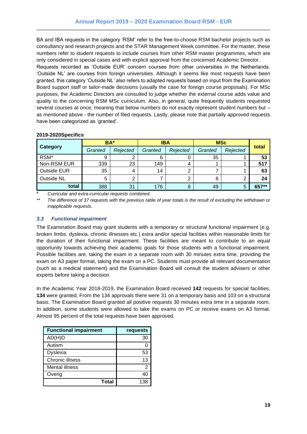BA and IBA requests in the category 'RSM' refer to the free-to-choose RSM bachelor projects such as consultancy and research projects and the STAR Management Week committee. For the master, these numbers refer to student requests to include courses from other RSM master programmes, which are only considered in special cases and with explicit approval from the concerned Academic Director.

Requests recorded as 'Outside EUR' concern courses from other universities in the Netherlands. 'Outside NL' are courses from foreign universities. Although it seems like most requests have been granted, this category 'Outside NL' also refers to adapted requests based on input from the Examination Board support staff or tailor-made decisions (usually the case for foreign course proposals). For MSc purposes, the Academic Directors are consulted to judge whether the external course adds value and quality to the concerning RSM MSc curriculum. Also, in general, quite frequently students requested several courses at once, meaning that below numbers do not exactly represent student numbers but – as mentioned above - the number of filed requests. Lastly, please note that partially approved requests have been categorized as 'granted'.

|                    | BA*     |          | <b>IBA</b> |          | <b>MSc</b> |          |       |
|--------------------|---------|----------|------------|----------|------------|----------|-------|
| <b>Category</b>    | Granted | Rejected | Granted    | Rejected | Granted    | Rejected | total |
| RSM*               | 9       |          | 6          |          | 35         |          | 53    |
| Non-RSM EUR        | 339     | 23       | 149        |          |            |          | 517   |
| <b>Outside EUR</b> | 35      |          | 14         | ⌒        |            |          | 63    |
| Outside NL         | 5       |          |            |          | 6          |          | 24    |
| total              | 388     | 31       | 176        |          | 49         | 5        | 657** |

#### **2019-2020Specifics**

\* *Curricular and extra-curricular requests combined.*

*\*\* The difference of 37 requests with the previous table of year totals is the result of excluding the withdrawn or inapplicable requests.*

#### <span id="page-18-0"></span>*3.3 Functional impairment*

The Examination Board may grant students with a temporary or structural functional impairment (e.g. broken limbs, dyslexia, chronic illnesses etc.) extra and/or special facilities within reasonable limits for the duration of their functional impairment. These facilities are meant to contribute to an equal opportunity towards achieving their academic goals for those students with a functional impairment. Possible facilities are, taking the exam in a separate room with 30 minutes extra time, providing the exam on A3 paper format, taking the exam on a PC. Students must provide all relevant documentation (such as a medical statement) and the Examination Board will consult the student advisers or other experts before taking a decision.

In the Academic Year 2018-2019, the Examination Board received **142** requests for special facilities, **134** were granted. From the 134 approvals there were 31 on a temporary basis and 103 on a structural basis. The Examination Board granted all positive requests 30 minutes extra time in a separate room. In addition, some students were allowed to take the exams on PC or receive exams on A3 format. Almost 95 percent of the total requests have been approved.

| <b>Functional impairment</b> | requests |
|------------------------------|----------|
| AD(H)D                       | 30       |
| Autism                       |          |
| Dyslexia                     | 53       |
| Chronic illness              | 13       |
| Mental illness               | 2        |
| Overig                       | 4በ       |
| Total                        | 138      |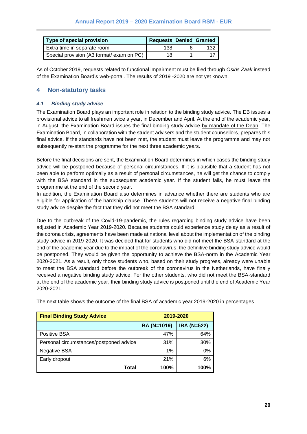| Type of special provision                 | <b>Requests Denied Granted</b> |     |
|-------------------------------------------|--------------------------------|-----|
| Extra time in separate room               | 138                            | 132 |
| Special provision (A3 format/ exam on PC) | 18                             |     |

As of October 2019, requests related to functional impairment must be filed through *Osiris Zaak* instead of the Examination Board's web-portal. The results of 2019 -2020 are not yet known.

### <span id="page-19-0"></span>**4 Non-statutory tasks**

#### <span id="page-19-1"></span>*4.1 Binding study advice*

The Examination Board plays an important role in relation to the binding study advice. The EB issues a provisional advice to all freshmen twice a year, in December and April. At the end of the academic year, in August, the Examination Board issues the final binding study advice by mandate of the Dean. The Examination Board, in collaboration with the student advisers and the student counsellors, prepares this final advice. If the standards have not been met, the student must leave the programme and may not subsequently re-start the programme for the next three academic years.

Before the final decisions are sent, the Examination Board determines in which cases the binding study advice will be postponed because of personal circumstances. If it is plausible that a student has not been able to perform optimally as a result of personal circumstances, he will get the chance to comply with the BSA standard in the subsequent academic year. If the student fails, he must leave the programme at the end of the second year.

In addition, the Examination Board also determines in advance whether there are students who are eligible for application of the hardship clause. These students will not receive a negative final binding study advice despite the fact that they did not meet the BSA standard.

Due to the outbreak of the Covid-19-pandemic, the rules regarding binding study advice have been adjusted in Academic Year 2019-2020. Because students could experience study delay as a result of the corona crisis, agreements have been made at national level about the implementation of the binding study advice in 2019-2020. It was decided that for students who did not meet the BSA-standard at the end of the academic year due to the impact of the coronavirus, the definitive binding study advice would be postponed. They would be given the opportunity to achieve the BSA-norm in the Academic Year 2020-2021. As a result, only those students who, based on their study progress, already were unable to meet the BSA standard before the outbreak of the coronavirus in the Netherlands, have finally received a negative binding study advice. For the other students, who did not meet the BSA-standard at the end of the academic year, their binding study advice is postponed until the end of Academic Year 2020-2021.

| <b>Final Binding Study Advice</b>       |             | 2019-2020          |
|-----------------------------------------|-------------|--------------------|
|                                         | BA (N=1019) | <b>IBA (N=522)</b> |
| <b>Positive BSA</b>                     | 47%         | 64%                |
| Personal circumstances/postponed advice | 31%         | 30%                |
| <b>Negative BSA</b>                     | 1%          | 0%                 |
| Early dropout                           | 21%         | 6%                 |
| Total                                   | 100%        | 100%               |

The next table shows the outcome of the final BSA of academic year 2019-2020 in percentages.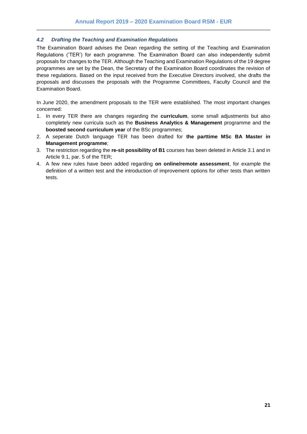#### <span id="page-20-0"></span>*4.2 Drafting the Teaching and Examination Regulations*

The Examination Board advises the Dean regarding the setting of the Teaching and Examination Regulations ('TER') for each programme. The Examination Board can also independently submit proposals for changes to the TER. Although the Teaching and Examination Regulations of the 19 degree programmes are set by the Dean, the Secretary of the Examination Board coordinates the revision of these regulations. Based on the input received from the Executive Directors involved, she drafts the proposals and discusses the proposals with the Programme Committees, Faculty Council and the Examination Board.

In June 2020, the amendment proposals to the TER were established. The most important changes concerned:

- 1. In every TER there are changes regarding the **curriculum**, some small adjustments but also completely new curricula such as the **Business Analytics & Management** programme and the **boosted second curriculum year** of the BSc programmes;
- 2. A seperate Dutch language TER has been drafted for **the parttime MSc BA Master in Management programme**;
- 3. The restriction regarding the **re-sit possibility of B1** courses has been deleted in Article 3.1 and in Article 9.1, par. 5 of the TER;
- 4. A few new rules have been added regarding **on online/remote assessment**, for example the definition of a written test and the introduction of improvement options for other tests than written tests.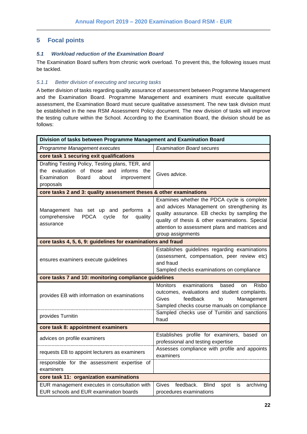## <span id="page-21-0"></span>**5 Focal points**

#### <span id="page-21-1"></span>*5.1 Workload reduction of the Examination Board*

The Examination Board suffers from chronic work overload. To prevent this, the following issues must be tackled.

#### <span id="page-21-2"></span>*5.1.1 Better division of executing and securing tasks*

A better division of tasks regarding quality assurance of assessment between Programme Management and the Examination Board. Programme Management and examiners must execute qualitative assessment, the Examination Board must secure qualitative assessment. The new task division must be established in the new RSM Assessment Policy document. The new division of tasks will improve the testing culture within the School. According to the Examination Board, the division should be as follows:

| Division of tasks between Programme Management and Examination Board                                                                                     |                                                                                                                                                                                                                                                                      |  |  |  |  |  |
|----------------------------------------------------------------------------------------------------------------------------------------------------------|----------------------------------------------------------------------------------------------------------------------------------------------------------------------------------------------------------------------------------------------------------------------|--|--|--|--|--|
| Programme Management executes                                                                                                                            | <b>Examination Board secures</b>                                                                                                                                                                                                                                     |  |  |  |  |  |
| core task 1 securing exit qualifications                                                                                                                 |                                                                                                                                                                                                                                                                      |  |  |  |  |  |
| Drafting Testing Policy, Testing plans, TER, and<br>the evaluation of those and informs the<br>Examination<br>Board<br>about<br>improvement<br>proposals | Gives advice.                                                                                                                                                                                                                                                        |  |  |  |  |  |
| core tasks 2 and 3: quality assessment theses & other examinations                                                                                       |                                                                                                                                                                                                                                                                      |  |  |  |  |  |
| Management has set up and<br>performs a<br>comprehensive<br><b>PDCA</b><br>for<br>cycle<br>quality<br>assurance                                          | Examines whether the PDCA cycle is complete<br>and advices Management on strengthening its<br>quality assurance. EB checks by sampling the<br>quality of thesis & other examinations. Special<br>attention to assessment plans and matrices and<br>group assignments |  |  |  |  |  |
| core tasks 4, 5, 6, 9: guidelines for examinations and fraud                                                                                             |                                                                                                                                                                                                                                                                      |  |  |  |  |  |
| ensures examiners execute guidelines                                                                                                                     | Establishes guidelines regarding examinations<br>(assessment, compensation, peer review etc)<br>and fraud<br>Sampled checks examinations on compliance                                                                                                               |  |  |  |  |  |
| core tasks 7 and 10: monitoring compliance guidelines                                                                                                    |                                                                                                                                                                                                                                                                      |  |  |  |  |  |
| provides EB with information on examinations                                                                                                             | Risbo<br>Monitors<br>examinations<br>based<br>on<br>outcomes, evaluations and student complaints.<br>feedback<br>Management<br>Gives<br>to<br>Sampled checks course manuals on compliance                                                                            |  |  |  |  |  |
| provides Turnitin                                                                                                                                        | Sampled checks use of Turnitin and sanctions<br>fraud                                                                                                                                                                                                                |  |  |  |  |  |
| core task 8: appointment examiners                                                                                                                       |                                                                                                                                                                                                                                                                      |  |  |  |  |  |
| advices on profile examiners                                                                                                                             | Establishes profile for examiners, based on<br>professional and testing expertise                                                                                                                                                                                    |  |  |  |  |  |
| requests EB to appoint lecturers as examiners                                                                                                            | Assesses compliance with profile and appoints<br>examiners                                                                                                                                                                                                           |  |  |  |  |  |
| responsible for the assessment expertise of<br>examiners                                                                                                 |                                                                                                                                                                                                                                                                      |  |  |  |  |  |
| core task 11: organization examinations                                                                                                                  |                                                                                                                                                                                                                                                                      |  |  |  |  |  |
| EUR management executes in consultation with<br>EUR schools and EUR examination boards                                                                   | feedback.<br><b>Blind</b><br>Gives<br>spot<br>archiving<br>is<br>procedures examinations                                                                                                                                                                             |  |  |  |  |  |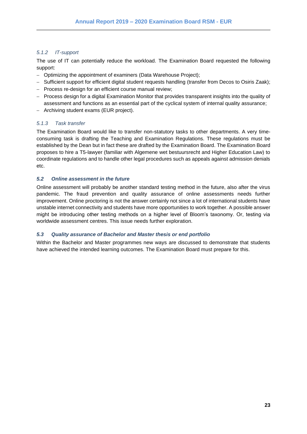#### <span id="page-22-0"></span>*5.1.2 IT-support*

The use of IT can potentially reduce the workload. The Examination Board requested the following support:

- − Optimizing the appointment of examiners (Data Warehouse Project);
- − Sufficient support for efficient digital student requests handling (transfer from Decos to Osiris Zaak);
- − Process re-design for an efficient course manual review;
- − Process design for a digital Examination Monitor that provides transparent insights into the quality of assessment and functions as an essential part of the cyclical system of internal quality assurance;
- − Archiving student exams (EUR project).

#### <span id="page-22-1"></span>*5.1.3 Task transfer*

The Examination Board would like to transfer non-statutory tasks to other departments. A very timeconsuming task is drafting the Teaching and Examination Regulations. These regulations must be established by the Dean but in fact these are drafted by the Examination Board. The Examination Board proposes to hire a T5-lawyer (familiar with Algemene wet bestuursrecht and Higher Education Law) to coordinate regulations and to handle other legal procedures such as appeals against admission denials etc.

#### <span id="page-22-2"></span>*5.2 Online assessment in the future*

Online assessment will probably be another standard testing method in the future, also after the virus pandemic. The fraud prevention and quality assurance of online assessments needs further improvement. Online proctoring is not the answer certainly not since a lot of international students have unstable internet connectivity and students have more opportunities to work together. A possible answer might be introducing other testing methods on a higher level of Bloom's taxonomy. Or, testing via worldwide assessment centres. This issue needs further exploration.

#### <span id="page-22-3"></span>*5.3 Quality assurance of Bachelor and Master thesis or end portfolio*

Within the Bachelor and Master programmes new ways are discussed to demonstrate that students have achieved the intended learning outcomes. The Examination Board must prepare for this.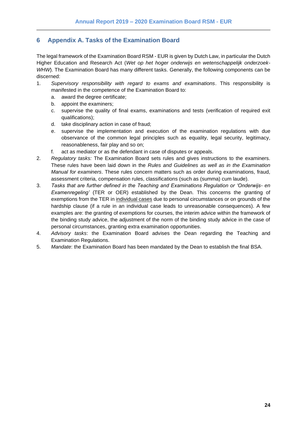## <span id="page-23-0"></span>**6 Appendix A. Tasks of the Examination Board**

The legal framework of the Examination Board RSM - EUR is given by Dutch Law, in particular the Dutch Higher Education and Research Act (*Wet op het hoger onderwijs en wetenschappelijk onderzoek-WHW*). The Examination Board has many different tasks. Generally, the following components can be discerned:

- 1. *Supervisory responsibility with regard to exams and examinations*. This responsibility is manifested in the competence of the Examination Board to:
	- a. award the degree certificate;
	- b. appoint the examiners;
	- c. supervise the quality of final exams, examinations and tests (verification of required exit qualifications);
	- d. take disciplinary action in case of fraud;
	- e. supervise the implementation and execution of the examination regulations with due observance of the common legal principles such as equality, legal security, legitimacy, reasonableness, fair play and so on;
	- f. act as mediator or as the defendant in case of disputes or appeals.
- 2. *Regulatory tasks:* The Examination Board sets rules and gives instructions to the examiners. These rules have been laid down in the *Rules and Guidelines as well as in the Examination Manual for examiners*. These rules concern matters such as order during examinations, fraud, assessment criteria, compensation rules, classifications (such as (summa) cum laude).
- 3. *Tasks that are further defined in the Teaching and Examinations Regulation or 'Onderwijs- en Examenregeling'* (TER or OER) established by the Dean. This concerns the granting of exemptions from the TER in individual cases due to personal circumstances or on grounds of the hardship clause (if a rule in an individual case leads to unreasonable consequences). A few examples are: the granting of exemptions for courses, the interim advice within the framework of the binding study advice, the adjustment of the norm of the binding study advice in the case of personal circumstances, granting extra examination opportunities.
- 4. *Advisory tasks*: the Examination Board advises the Dean regarding the Teaching and Examination Regulations.
- 5. *Mandate*: the Examination Board has been mandated by the Dean to establish the final BSA.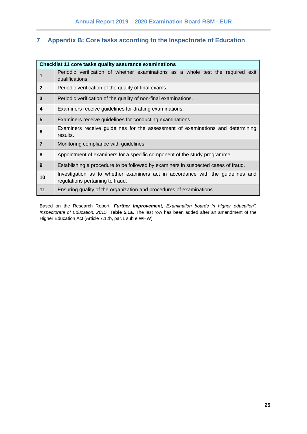## <span id="page-24-0"></span>**7 Appendix B: Core tasks according to the Inspectorate of Education**

|                | <b>Checklist 11 core tasks quality assurance examinations</b>                                                       |
|----------------|---------------------------------------------------------------------------------------------------------------------|
| 1              | Periodic verification of whether examinations as a whole test the required exit<br>qualifications                   |
| $\overline{2}$ | Periodic verification of the quality of final exams.                                                                |
| $\mathbf{3}$   | Periodic verification of the quality of non-final examinations.                                                     |
| 4              | Examiners receive guidelines for drafting examinations.                                                             |
| 5              | Examiners receive guidelines for conducting examinations.                                                           |
| 6              | Examiners receive guidelines for the assessment of examinations and determining<br>results.                         |
| $\overline{7}$ | Monitoring compliance with guidelines.                                                                              |
| 8              | Appointment of examiners for a specific component of the study programme.                                           |
| 9              | Establishing a procedure to be followed by examiners in suspected cases of fraud.                                   |
| 10             | Investigation as to whether examiners act in accordance with the guidelines and<br>regulations pertaining to fraud. |
| 11             | Ensuring quality of the organization and procedures of examinations                                                 |

Based on the Research Report *"Further Improvement, Examination boards in higher education", Inspectorate of Education, 2015,* **Table 5.1a.** The last row has been added after an amendment of the Higher Education Act (Article 7.12b, par.1 sub e WHW)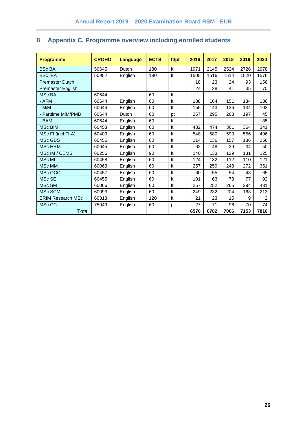| <b>Programme</b>         | <b>CROHO</b> | Language | <b>ECTS</b> | ft/pt | 2016 | 2017 | 2018 | 2019 | 2020 |
|--------------------------|--------------|----------|-------------|-------|------|------|------|------|------|
| <b>BSc BA</b>            | 50645        | Dutch    | 180         | ft    | 1971 | 2145 | 2524 | 2726 | 2978 |
| <b>BScIBA</b>            | 50952        | English  | 180         | ft    | 1505 | 1516 | 1514 | 1520 | 1576 |
| <b>Premaster Dutch</b>   |              |          |             |       | 18   | 23   | 24   | 93   | 156  |
| Premaster English        |              |          |             |       | 24   | 38   | 41   | 35   | 70   |
| <b>MSc BA</b>            | 60644        |          | 60          | ft    |      |      |      |      |      |
| - AFM                    | 60644        | English  | 60          | ft    | 188  | 164  | 151  | 134  | 186  |
| - MiM                    | 60644        | English  | 60          | ft    | 155  | 143  | 136  | 134  | 103  |
| - Parttime MiM/PMB       | 60644        | Dutch    | 60          | pt    | 267  | 295  | 268  | 197  | 45   |
| - BAM                    | 60644        | English  | 60          | ft    |      |      |      |      | 85   |
| <b>MSc BIM</b>           | 60453        | English  | 60          | ft    | 482  | 474  | 361  | 364  | 341  |
| MSc FI (incl FI-A)       | 60409        | English  | 60          | ft    | 548  | 580  | 590  | 556  | 496  |
| MSc GBS                  | 60456        | English  | 60          | ft    | 114  | 136  | 157  | 186  | 256  |
| <b>MSc HRM</b>           | 60645        | English  | 60          | ft    | 62   | 48   | 39   | 34   | 50   |
| MSc IM / CEMS            | 60256        | English  | 90          | ft    | 140  | 133  | 129  | 131  | 125  |
| <b>MSc MI</b>            | 60458        | English  | 60          | ft    | 124  | 132  | 112  | 110  | 121  |
| <b>MSc MM</b>            | 60063        | English  | 60          | ft    | 257  | 259  | 248  | 272  | 351  |
| MSc OCC                  | 60457        | English  | 60          | ft    | 60   | 55   | 54   | 48   | 65   |
| MSc SE                   | 60455        | English  | 60          | ft    | 101  | 63   | 78   | 77   | 92   |
| MSc SM                   | 60066        | English  | 60          | ft    | 257  | 252  | 265  | 294  | 431  |
| MSc SCM                  | 60093        | English  | 60          | ft    | 249  | 232  | 204  | 163  | 213  |
| <b>ERIM Research MSc</b> | 60313        | English  | 120         | ft    | 21   | 23   | 15   | 9    | 2    |
| MSc CC                   | 75049        | English  | 60          | pt    | 27   | 71   | 96   | 70   | 74   |
| Total                    |              |          |             |       | 6570 | 6782 | 7006 | 7153 | 7816 |

## <span id="page-25-0"></span>**8 Appendix C. Programme overview including enrolled students**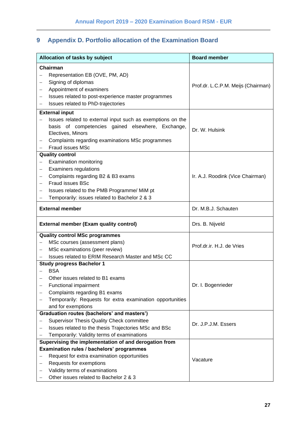## <span id="page-26-0"></span>**9 Appendix D. Portfolio allocation of the Examination Board**

|                          | Allocation of tasks by subject                             | <b>Board member</b>                |  |  |  |
|--------------------------|------------------------------------------------------------|------------------------------------|--|--|--|
|                          | Chairman                                                   |                                    |  |  |  |
|                          | Representation EB (OVE, PM, AD)                            |                                    |  |  |  |
| -                        | Signing of diplomas                                        |                                    |  |  |  |
| $\qquad \qquad -$        | Appointment of examiners                                   | Prof.dr. L.C.P.M. Meijs (Chairman) |  |  |  |
|                          | Issues related to post-experience master programmes        |                                    |  |  |  |
|                          | Issues related to PhD-trajectories                         |                                    |  |  |  |
|                          | <b>External input</b>                                      |                                    |  |  |  |
|                          | Issues related to external input such as exemptions on the |                                    |  |  |  |
|                          | basis of competencies gained elsewhere, Exchange,          | Dr. W. Hulsink                     |  |  |  |
|                          | Electives, Minors                                          |                                    |  |  |  |
|                          | Complaints regarding examinations MSc programmes           |                                    |  |  |  |
|                          | Fraud issues MSc                                           |                                    |  |  |  |
|                          | <b>Quality control</b>                                     |                                    |  |  |  |
|                          | <b>Examination monitoring</b>                              |                                    |  |  |  |
| $\qquad \qquad -$        | <b>Examiners regulations</b>                               |                                    |  |  |  |
| $\qquad \qquad -$        | Complaints regarding B2 & B3 exams                         | Ir. A.J. Roodink (Vice Chairman)   |  |  |  |
|                          | Fraud issues BSc                                           |                                    |  |  |  |
|                          | Issues related to the PMB Programme/ MiM pt                |                                    |  |  |  |
|                          | Temporarily: issues related to Bachelor 2 & 3              |                                    |  |  |  |
|                          | <b>External member</b>                                     | Dr. M.B.J. Schauten                |  |  |  |
|                          | <b>External member (Exam quality control)</b>              | Drs. B. Nijveld                    |  |  |  |
|                          | <b>Quality control MSc programmes</b>                      |                                    |  |  |  |
|                          | MSc courses (assessment plans)                             | Prof.dr.ir. H.J. de Vries          |  |  |  |
| $\overline{\phantom{0}}$ | MSc examinations (peer review)                             |                                    |  |  |  |
|                          | Issues related to ERIM Research Master and MSc CC          |                                    |  |  |  |
|                          | <b>Study progress Bachelor 1</b>                           |                                    |  |  |  |
|                          | <b>BSA</b>                                                 |                                    |  |  |  |
|                          | Other issues related to B1 exams                           |                                    |  |  |  |
|                          | Functional impairment                                      | Dr. I. Bogenrieder                 |  |  |  |
|                          |                                                            |                                    |  |  |  |
|                          | Complaints regarding B1 exams                              |                                    |  |  |  |
|                          | Temporarily: Requests for extra examination opportunities  |                                    |  |  |  |
|                          | and for exemptions                                         |                                    |  |  |  |
|                          | Graduation routes (bachelors' and masters')                |                                    |  |  |  |
|                          | Supervisor Thesis Quality Check committee                  | Dr. J.P.J.M. Essers                |  |  |  |
|                          | Issues related to the thesis Trajectories MSc and BSc      |                                    |  |  |  |
|                          | Temporarily: Validity terms of examinations                |                                    |  |  |  |
|                          | Supervising the implementation of and derogation from      |                                    |  |  |  |
|                          | Examination rules / bachelors' programmes                  |                                    |  |  |  |
|                          | Request for extra examination opportunities                | Vacature                           |  |  |  |
| -                        | Requests for exemptions<br>Validity terms of examinations  |                                    |  |  |  |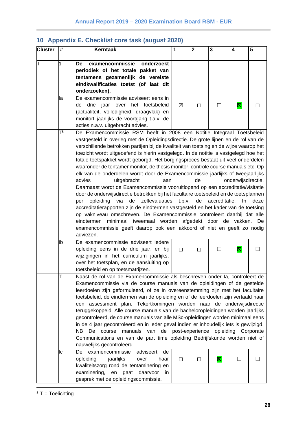| <b>Cluster</b> | #  | <b>Kerntaak</b>                                                                                                                                         | 1                  | $\mathbf{2}$ | 3             | 4                   | 5            |
|----------------|----|---------------------------------------------------------------------------------------------------------------------------------------------------------|--------------------|--------------|---------------|---------------------|--------------|
|                |    |                                                                                                                                                         |                    |              |               |                     |              |
| $\mathbf{I}$   | 1  | onderzoekt<br>examencommissie<br>De<br>periodiek of het totale pakket van                                                                               |                    |              |               |                     |              |
|                |    | tentamens gezamenlijk de vereiste                                                                                                                       |                    |              |               |                     |              |
|                |    | eindkwalificaties toetst (of laat dit                                                                                                                   |                    |              |               |                     |              |
|                |    | onderzoeken).                                                                                                                                           |                    |              |               |                     |              |
|                | la | De examencommissie adviseert eens in                                                                                                                    |                    |              |               |                     |              |
|                |    | de drie jaar over het toetsbeleid                                                                                                                       | ⊠                  | $\Box$       | $\perp$       | ⊠                   | п            |
|                |    | (actualiteit, volledigheid, draagvlak) en                                                                                                               |                    |              |               |                     |              |
|                |    | monitort jaarlijks de voortgang t.a.v. de                                                                                                               |                    |              |               |                     |              |
|                |    | acties n.a.v. uitgebracht advies.                                                                                                                       |                    |              |               |                     |              |
|                | Т5 | De Examencommissie RSM heeft in 2008 een Notitie Integraal Toetsbeleid                                                                                  |                    |              |               |                     |              |
|                |    | vastgesteld in overleg met de Opleidingsdirectie. De grote lijnen en de rol van de                                                                      |                    |              |               |                     |              |
|                |    | verschillende betrokken partijen bij de kwaliteit van toetsing en de wijze waarop het                                                                   |                    |              |               |                     |              |
|                |    | toezicht wordt uitgeoefend is hierin vastgelegd. In de notitie is vastgelegd hoe het                                                                    |                    |              |               |                     |              |
|                |    | totale toetspakket wordt geborgd. Het borgingsproces bestaat uit veel onderdelen                                                                        |                    |              |               |                     |              |
|                |    | waaronder de tentamenmonitor, de thesis monitor, controle course manuals etc. Op                                                                        |                    |              |               |                     |              |
|                |    | elk van de onderdelen wordt door de Examencommissie jaarlijks of tweejaarlijks<br>advies                                                                |                    | de           |               | onderwijsdirectie.  |              |
|                |    | uitgebracht<br>aan<br>Daarnaast wordt de Examencommissie vooruitlopend op een accreditatie/visitatie                                                    |                    |              |               |                     |              |
|                |    | door de onderwijsdirectie betrokken bij het facultaire toetsbeleid en de toetsplannen                                                                   |                    |              |               |                     |              |
|                |    | zelfevaluaties t.b.v.<br>via de<br>opleiding<br>per                                                                                                     |                    | de           | accreditatie. | In.                 | deze         |
|                |    | accreditatierapporten zijn de eindtermen vastgesteld en het kader van de toetsing                                                                       |                    |              |               |                     |              |
|                |    | op vakniveau omschreven. De Examencommissie controleert daarbij dat alle                                                                                |                    |              |               |                     |              |
|                |    | minimaal tweemaal worden afgedekt door de vakken. De<br>eindtermen                                                                                      |                    |              |               |                     |              |
|                |    | examencommissie geeft daarop ook een akkoord of niet en geeft zo nodig                                                                                  |                    |              |               |                     |              |
|                |    | adviezen.                                                                                                                                               |                    |              |               |                     |              |
|                | lb | De examencommissie adviseert iedere                                                                                                                     |                    |              |               |                     |              |
|                |    | opleiding eens in de drie jaar, en bij                                                                                                                  | П                  | П            | П             | 図                   | $\mathsf{L}$ |
|                |    | wijzigingen in het curriculum jaarlijks,                                                                                                                |                    |              |               |                     |              |
|                |    | over het toetsplan, en de aansluiting op                                                                                                                |                    |              |               |                     |              |
|                |    | toetsbeleid en op toetsmatrijzen.                                                                                                                       |                    |              |               |                     |              |
|                |    | Naast de rol van de Examencommissie als beschreven onder la, controleert de                                                                             |                    |              |               |                     |              |
|                |    | Examencommissie via de course manuals van de opleidingen of de gestelde                                                                                 |                    |              |               |                     |              |
|                |    | leerdoelen zijn geformuleerd, of ze in overeenstemming zijn met het facultaire                                                                          |                    |              |               |                     |              |
|                |    | toetsbeleid, de eindtermen van de opleiding en of de leerdoelen zijn vertaald naar                                                                      |                    |              |               |                     |              |
|                |    | een assessment plan. Tekortkomingen worden naar de onderwijsdirectie<br>teruggekoppeld. Alle course manuals van de bacheloropleidingen worden jaarlijks |                    |              |               |                     |              |
|                |    | gecontroleerd, de course manuals van alle MSc-opleidingen worden minimaal eens                                                                          |                    |              |               |                     |              |
|                |    | in de 4 jaar gecontroleerd en in ieder geval indien er inhoudelijk iets is gewijzigd.                                                                   |                    |              |               |                     |              |
|                |    | NB.<br>manuals van<br>De<br>course                                                                                                                      | de post-experience |              |               | opleiding Corporate |              |
|                |    | Communications en van de part time opleiding Bedrijfskunde worden niet of                                                                               |                    |              |               |                     |              |
|                |    | nauwelijks gecontroleerd.                                                                                                                               |                    |              |               |                     |              |
|                | Iс | examencommissie<br>adviseert<br>De<br>de                                                                                                                |                    |              |               |                     |              |
|                |    | opleiding<br>jaarlijks<br>over<br>haar                                                                                                                  | П                  | П            | ⊠             | П                   |              |
|                |    | kwaliteitszorg rond de tentaminering en                                                                                                                 |                    |              |               |                     |              |
|                |    | examinering,<br>en gaat daarvoor<br>in.                                                                                                                 |                    |              |               |                     |              |
|                |    | gesprek met de opleidingscommissie.                                                                                                                     |                    |              |               |                     |              |

## <span id="page-27-0"></span>**10 Appendix E. Checklist core task (august 2020)**

 $5T = Toelichting$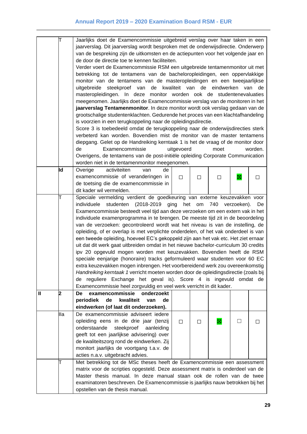|   | Τ   | Jaarlijks doet de Examencommissie uitgebreid verslag over haar taken in een                                                                                         |  |  |  |  |  |
|---|-----|---------------------------------------------------------------------------------------------------------------------------------------------------------------------|--|--|--|--|--|
|   |     | jaarverslag. Dit jaarverslag wordt besproken met de onderwijsdirectie. Onderwerp                                                                                    |  |  |  |  |  |
|   |     | van de bespreking zijn de uitkomsten en de actiepunten voor het volgende jaar en                                                                                    |  |  |  |  |  |
|   |     | de door de directie toe te kennen faciliteiten.                                                                                                                     |  |  |  |  |  |
|   |     | Verder voert de Examencommissie RSM een uitgebreide tentamenmonitor uit met                                                                                         |  |  |  |  |  |
|   |     | betrekking tot de tentamens van de bacheloropleidingen, een oppervlakkige                                                                                           |  |  |  |  |  |
|   |     | monitor van de tentamens van de masteropleidingen en een tweejaarlijkse                                                                                             |  |  |  |  |  |
|   |     | uitgebreide steekproef van de kwaliteit van de eindwerken van de                                                                                                    |  |  |  |  |  |
|   |     | masteropleidingen. In deze monitor worden ook de studentenevaluaties                                                                                                |  |  |  |  |  |
|   |     | meegenomen. Jaarlijks doet de Examencommissie verslag van de monitoren in het                                                                                       |  |  |  |  |  |
|   |     | jaarverslag Tentamenmonitor. In deze monitor wordt ook verslag gedaan van de                                                                                        |  |  |  |  |  |
|   |     | grootschalige studentenklachten. Gedurende het proces van een klachtafhandeling                                                                                     |  |  |  |  |  |
|   |     | is voorzien in een terugkoppeling naar de opleidingsdirectie.                                                                                                       |  |  |  |  |  |
|   |     | Score 3 is toebedeeld omdat de terugkoppeling naar de onderwijsdirecties sterk                                                                                      |  |  |  |  |  |
|   |     | verbeterd kan worden. Bovendien mist de monitor van de master tentamens                                                                                             |  |  |  |  |  |
|   |     | diepgang. Gelet op de Handreiking kerntaak 1 is het de vraag of de monitor door                                                                                     |  |  |  |  |  |
|   |     | Examencommissie<br>worden.<br>de<br>uitgevoerd<br>moet                                                                                                              |  |  |  |  |  |
|   |     | Overigens, de tentamens van de post-initiële opleiding Corporate Communication                                                                                      |  |  |  |  |  |
|   |     | worden niet in de tentamenmonitor meegenomen.                                                                                                                       |  |  |  |  |  |
|   | lld | Overige<br>activiteiten<br>de<br>van                                                                                                                                |  |  |  |  |  |
|   |     | examencommissie of veranderingen in<br>⊠<br>□<br>П<br>□<br>П                                                                                                        |  |  |  |  |  |
|   |     | de toetsing die de examencommissie in                                                                                                                               |  |  |  |  |  |
|   |     | dit kader wil vermelden.                                                                                                                                            |  |  |  |  |  |
|   |     | Speciale vermelding verdient de goedkeuring van externe keuzevakken voor                                                                                            |  |  |  |  |  |
|   |     | individuele<br>studenten<br>$(2018 - 2019)$<br>het om<br>ging<br>740<br>verzoeken).<br>De                                                                           |  |  |  |  |  |
|   |     | Examencommissie besteedt veel tijd aan deze verzoeken om een extern vak in het                                                                                      |  |  |  |  |  |
|   |     | individuele examenprogramma in te brengen. De meeste tijd zit in de beoordeling                                                                                     |  |  |  |  |  |
|   |     |                                                                                                                                                                     |  |  |  |  |  |
|   |     | van de verzoeken: gecontroleerd wordt wat het niveau is van de instelling, de<br>opleiding, of er overlap is met verplichte onderdelen, of het vak onderdeel is van |  |  |  |  |  |
|   |     |                                                                                                                                                                     |  |  |  |  |  |
|   |     | een tweede opleiding, hoeveel EC's gekoppeld zijn aan het vak etc. Het ziet ernaar                                                                                  |  |  |  |  |  |
|   |     | uit dat dit werk gaat uitbreiden omdat in het nieuwe bachelor-curriculum 30 credits<br>ipv 20 opgevuld mogen worden met keuzevakken. Bovendien heeft de RSM         |  |  |  |  |  |
|   |     |                                                                                                                                                                     |  |  |  |  |  |
|   |     | speciale eenjarige (honoraire) tracks geformuleerd waar studenten voor 60 EC                                                                                        |  |  |  |  |  |
|   |     | extra keuzevakken mogen inbrengen. Het voorbereidend werk zou overeenkomstig<br>Handreiking kerntaak 1 verricht moeten worden door de opleidingsdirectie (zoals bij |  |  |  |  |  |
|   |     | de reguliere Exchange het geval is). Score 4 is ingevuld omdat de                                                                                                   |  |  |  |  |  |
|   |     | Examencommissie heel zorgvuldig en veel werk verricht in dit kader.                                                                                                 |  |  |  |  |  |
| Ш | 12  | examencommissie<br>onderzoekt<br>De                                                                                                                                 |  |  |  |  |  |
|   |     | kwaliteit<br>periodiek<br>de<br>van<br>de                                                                                                                           |  |  |  |  |  |
|   |     | eindwerken (of laat dit onderzoeken).                                                                                                                               |  |  |  |  |  |
|   | lla | De examencommissie adviseert iedere                                                                                                                                 |  |  |  |  |  |
|   |     | opleiding eens in de drie jaar (tenzij<br>⊠<br>$\perp$<br>П<br>□<br>$\perp$                                                                                         |  |  |  |  |  |
|   |     | steekproef<br>onderstaande<br>aanleiding                                                                                                                            |  |  |  |  |  |
|   |     | geeft tot een jaarlijkse advisering) over                                                                                                                           |  |  |  |  |  |
|   |     | de kwaliteitszorg rond de eindwerken. Zij                                                                                                                           |  |  |  |  |  |
|   |     | monitort jaarlijks de voortgang t.a.v. de                                                                                                                           |  |  |  |  |  |
|   |     | acties n.a.v. uitgebracht advies.                                                                                                                                   |  |  |  |  |  |
|   | T   | Met betrekking tot de MSc theses heeft de Examencommissie een assessment                                                                                            |  |  |  |  |  |
|   |     | matrix voor de scripties opgesteld. Deze assessment matrix is onderdeel van de                                                                                      |  |  |  |  |  |
|   |     | Master thesis manual. In deze manual staan ook de rollen van de twee                                                                                                |  |  |  |  |  |
|   |     |                                                                                                                                                                     |  |  |  |  |  |
|   |     | examinatoren beschreven. De Examencommissie is jaarlijks nauw betrokken bij het                                                                                     |  |  |  |  |  |
|   |     | opstellen van de thesis manual.                                                                                                                                     |  |  |  |  |  |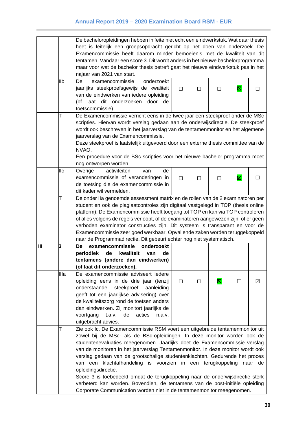|   |            | De bacheloropleidingen hebben in feite niet echt een eindwerkstuk. Wat daar thesis                                                                    |        |        |   |   |              |  |
|---|------------|-------------------------------------------------------------------------------------------------------------------------------------------------------|--------|--------|---|---|--------------|--|
|   |            | heet is feitelijk een groepsopdracht gericht op het doen van onderzoek. De                                                                            |        |        |   |   |              |  |
|   |            | Examencommissie heeft daarom minder bemoeienis met de kwaliteit van dit                                                                               |        |        |   |   |              |  |
|   |            | tentamen. Vandaar een score 3. Dit wordt anders in het nieuwe bachelorprogramma                                                                       |        |        |   |   |              |  |
|   |            | maar voor wat de bachelor thesis betreft gaat het nieuwe eindwerkstuk pas in het                                                                      |        |        |   |   |              |  |
|   |            | najaar van 2021 van start.                                                                                                                            |        |        |   |   |              |  |
|   | llb        | examencommissie<br>onderzoekt<br>De                                                                                                                   |        |        |   |   |              |  |
|   |            | jaarlijks steekproefsgewijs de kwaliteit                                                                                                              | П      | П      | П | 図 | П            |  |
|   |            | van de eindwerken van iedere opleiding                                                                                                                |        |        |   |   |              |  |
|   |            | (of laat dit onderzoeken door de                                                                                                                      |        |        |   |   |              |  |
|   |            | toetscommissie).                                                                                                                                      |        |        |   |   |              |  |
|   | T          | De Examencommissie verricht eens in de twee jaar een steekproef onder de MSc                                                                          |        |        |   |   |              |  |
|   |            | scripties. Hiervan wordt verslag gedaan aan de onderwijsdirectie. De steekproef                                                                       |        |        |   |   |              |  |
|   |            | wordt ook beschreven in het jaarverslag van de tentamenmonitor en het algemene                                                                        |        |        |   |   |              |  |
|   |            | jaarverslag van de Examencommissie.                                                                                                                   |        |        |   |   |              |  |
|   |            | Deze steekproef is laatstelijk uitgevoerd door een externe thesis committee van de                                                                    |        |        |   |   |              |  |
|   |            | NVAO.                                                                                                                                                 |        |        |   |   |              |  |
|   |            | Een procedure voor de BSc scripties voor het nieuwe bachelor programma moet                                                                           |        |        |   |   |              |  |
|   |            | nog ontworpen worden.                                                                                                                                 |        |        |   |   |              |  |
|   | <b>IIc</b> | activiteiten<br>Overige<br>de<br>van                                                                                                                  |        |        |   |   |              |  |
|   |            | examencommissie of veranderingen in                                                                                                                   | $\Box$ | $\Box$ | □ | 図 | $\mathsf{L}$ |  |
|   |            | de toetsing die de examencommissie in                                                                                                                 |        |        |   |   |              |  |
|   |            | dit kader wil vermelden.                                                                                                                              |        |        |   |   |              |  |
|   | T          | De onder IIa genoemde assessment matrix en de rollen van de 2 examinatoren per                                                                        |        |        |   |   |              |  |
|   |            | student en ook de plagiaatcontroles zijn digitaal vastgelegd in TOP (thesis online                                                                    |        |        |   |   |              |  |
|   |            | platform). De Examencommissie heeft toegang tot TOP en kan via TOP controleren                                                                        |        |        |   |   |              |  |
|   |            | of alles volgens de regels verloopt, of de examinatoren aangewezen zijn, of er geen                                                                   |        |        |   |   |              |  |
|   |            | verboden examinator constructies zijn. Dit systeem is transparant en voor de                                                                          |        |        |   |   |              |  |
|   |            | Examencommissie zeer goed werkbaar. Opvallende zaken worden teruggekoppeld                                                                            |        |        |   |   |              |  |
|   |            | naar de Programmadirectie. Dit gebeurt echter nog niet systematisch.                                                                                  |        |        |   |   |              |  |
| Ш | 3          | examencommissie<br>onderzoekt<br>De                                                                                                                   |        |        |   |   |              |  |
|   |            | periodiek<br>kwaliteit<br>de<br>de<br>van                                                                                                             |        |        |   |   |              |  |
|   |            | tentamens (andere dan eindwerken)                                                                                                                     |        |        |   |   |              |  |
|   |            | (of laat dit onderzoeken).                                                                                                                            |        |        |   |   |              |  |
|   | Illa       | De examencommissie adviseert iedere                                                                                                                   |        |        |   |   |              |  |
|   |            | opleiding eens in de drie jaar (tenzij                                                                                                                | □      | □      | × |   | ⊠            |  |
|   |            | onderstaande<br>steekproef<br>aanleiding                                                                                                              |        |        |   |   |              |  |
|   |            | geeft tot een jaarlijkse advisering) over                                                                                                             |        |        |   |   |              |  |
|   |            | de kwaliteitszorg rond de toetsen anders                                                                                                              |        |        |   |   |              |  |
|   |            | dan eindwerken. Zij monitort jaarlijks de                                                                                                             |        |        |   |   |              |  |
|   |            | voortgang<br>t.a.v.<br>de<br>acties<br>n.a.v.                                                                                                         |        |        |   |   |              |  |
|   |            | uitgebracht advies.                                                                                                                                   |        |        |   |   |              |  |
|   | T          | Zie ook Ic. De Examencommissie RSM voert een uitgebreide tentamenmonitor uit                                                                          |        |        |   |   |              |  |
|   |            | zowel bij de MSc- als de BSc-opleidingen. In deze monitor worden ook de                                                                               |        |        |   |   |              |  |
|   |            | studentenevaluaties meegenomen. Jaarlijks doet de Examencommissie verslag                                                                             |        |        |   |   |              |  |
|   |            | van de monitoren in het jaarverslag Tentamenmonitor. In deze monitor wordt ook                                                                        |        |        |   |   |              |  |
|   |            | verslag gedaan van de grootschalige studentenklachten. Gedurende het proces                                                                           |        |        |   |   |              |  |
|   |            | van een klachtafhandeling is voorzien in een terugkoppeling                                                                                           |        |        |   |   | naar de      |  |
|   |            | opleidingsdirectie.                                                                                                                                   |        |        |   |   |              |  |
|   |            | Score 3 is toebedeeld omdat de terugkoppeling naar de onderwijsdirectie sterk                                                                         |        |        |   |   |              |  |
|   |            | verbeterd kan worden. Bovendien, de tentamens van de post-initiële opleiding<br>Corporate Communication worden niet in de tentamenmonitor meegenomen. |        |        |   |   |              |  |
|   |            |                                                                                                                                                       |        |        |   |   |              |  |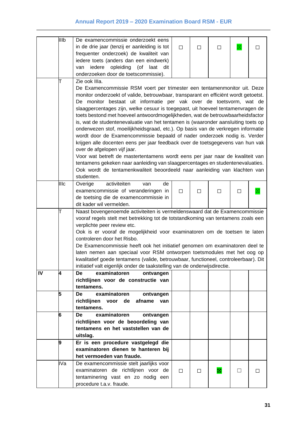|    | IIIb | De examencommissie onderzoekt eens                                                  |        |   |   |              |              |  |
|----|------|-------------------------------------------------------------------------------------|--------|---|---|--------------|--------------|--|
|    |      | in de drie jaar (tenzij er aanleiding is tot                                        | П      | П | Ш | $\boxtimes$  | $\mathsf{L}$ |  |
|    |      | frequenter onderzoek) de kwaliteit van                                              |        |   |   |              |              |  |
|    |      | iedere toets (anders dan een eindwerk)                                              |        |   |   |              |              |  |
|    |      | opleiding<br>iedere<br>(of<br>laat<br>van<br>dit                                    |        |   |   |              |              |  |
|    |      | onderzoeken door de toetscommissie).                                                |        |   |   |              |              |  |
|    | T    | Zie ook IIIa.                                                                       |        |   |   |              |              |  |
|    |      | De Examencommissie RSM voert per trimester een tentamenmonitor uit. Deze            |        |   |   |              |              |  |
|    |      | monitor onderzoekt of valide, betrouwbaar, transparant en efficiënt wordt getoetst. |        |   |   |              |              |  |
|    |      | De monitor bestaat uit informatie per vak over de toetsvorm, wat de                 |        |   |   |              |              |  |
|    |      | slaagpercentages zijn, welke cesuur is toegepast, uit hoeveel tentamenvragen de     |        |   |   |              |              |  |
|    |      | toets bestond met hoeveel antwoordmogelijkheden, wat de betrouwbaarheidsfactor      |        |   |   |              |              |  |
|    |      | is, wat de studentenevaluatie van het tentamen is (waaronder aansluiting toets op   |        |   |   |              |              |  |
|    |      | onderwezen stof, moeilijkheidsgraad, etc.). Op basis van de verkregen informatie    |        |   |   |              |              |  |
|    |      | wordt door de Examencommissie bepaald of nader onderzoek nodig is. Verder           |        |   |   |              |              |  |
|    |      | krijgen alle docenten eens per jaar feedback over de toetsgegevens van hun vak      |        |   |   |              |              |  |
|    |      | over de afgelopen vijf jaar.                                                        |        |   |   |              |              |  |
|    |      | Voor wat betreft de mastertentamens wordt eens per jaar naar de kwaliteit van       |        |   |   |              |              |  |
|    |      | tentamens gekeken naar aanleiding van slaagpercentages en studentenevaluaties.      |        |   |   |              |              |  |
|    |      | Ook wordt de tentamenkwaliteit beoordeeld naar aanleiding van klachten van          |        |   |   |              |              |  |
|    |      | studenten.                                                                          |        |   |   |              |              |  |
|    | Illc | Overige<br>activiteiten<br>de<br>van                                                |        |   |   |              |              |  |
|    |      | examencommissie of veranderingen in                                                 | $\Box$ | □ | □ | $\Box$       |              |  |
|    |      | de toetsing die de examencommissie in                                               |        |   |   |              |              |  |
|    |      | dit kader wil vermelden.                                                            |        |   |   |              |              |  |
|    | T    | Naast bovengenoemde activiteiten is vermeldenswaard dat de Examencommissie          |        |   |   |              |              |  |
|    |      | vooraf regels stelt met betrekking tot de totstandkoming van tentamens zoals een    |        |   |   |              |              |  |
|    |      | verplichte peer review etc.                                                         |        |   |   |              |              |  |
|    |      | Ook is er vooraf de mogelijkheid voor examinatoren om de toetsen te laten           |        |   |   |              |              |  |
|    |      | controleren door het Risbo.                                                         |        |   |   |              |              |  |
|    |      | De Examencommissie heeft ook het initiatief genomen om examinatoren deel te         |        |   |   |              |              |  |
|    |      | laten nemen aan speciaal voor RSM ontworpen toetsmodules met het oog op             |        |   |   |              |              |  |
|    |      | kwalitatief goede tentamens (valide, betrouwbaar, functioneel, controleerbaar). Dit |        |   |   |              |              |  |
|    |      | initiatief valt eigenlijk onder de taakstelling van de onderwijsdirectie.           |        |   |   |              |              |  |
| IV | 4    | examinatoren<br>De<br>ontvangen                                                     |        |   |   |              |              |  |
|    |      | richtlijnen voor de constructie van                                                 |        |   |   |              |              |  |
|    |      | tentamens.                                                                          |        |   |   |              |              |  |
|    | 5    | examinatoren<br>De<br>ontvangen                                                     |        |   |   |              |              |  |
|    |      | richtlijnen<br>voor de<br>afname van                                                |        |   |   |              |              |  |
|    |      | tentamens.                                                                          |        |   |   |              |              |  |
|    | 6    | examinatoren<br>De<br>ontvangen                                                     |        |   |   |              |              |  |
|    |      | richtlijnen voor de beoordeling van                                                 |        |   |   |              |              |  |
|    |      | tentamens en het vaststellen van de                                                 |        |   |   |              |              |  |
|    |      | uitslag.                                                                            |        |   |   |              |              |  |
|    | 9    | Er is een procedure vastgelegd die                                                  |        |   |   |              |              |  |
|    |      | examinatoren dienen te hanteren bij                                                 |        |   |   |              |              |  |
|    |      | het vermoeden van fraude.                                                           |        |   |   |              |              |  |
|    | IVa  | De examencommissie stelt jaarlijks voor                                             |        |   |   |              |              |  |
|    |      | examinatoren de richtlijnen voor de                                                 | $\Box$ | □ | ⊠ | $\mathsf{L}$ | □            |  |
|    |      | tentaminering vast en zo nodig een                                                  |        |   |   |              |              |  |
|    |      | procedure t.a.v. fraude.                                                            |        |   |   |              |              |  |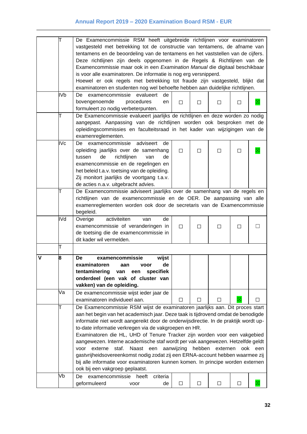| is voor alle examinatoren. De informatie is nog erg versnipperd.<br>examinatoren en studenten nog wel behoefte hebben aan duidelijke richtlijnen.<br>IV <sub>b</sub><br>examencommissie evalueert<br>de<br>De<br>bovengenoemde<br>procedures<br>en<br>П<br>П<br>П<br>□<br>formuleert zo nodig verbeterpunten.<br>T<br>examenreglementen.<br>IV <sub>c</sub><br>examencommissie adviseert<br>De<br>de<br>opleiding jaarlijks over de samenhang<br>П<br>□<br>П<br>□<br>de<br>richtlijnen<br>tussen<br>van<br>de<br>examencommissie en de regelingen en<br>het beleid t.a.v. toetsing van de opleiding.<br>Zij monitort jaarlijks de voortgang t.a.v.<br>de acties n.a.v. uitgebracht advies.<br>Т<br>begeleid.<br>IVd<br>Overige<br>activiteiten<br>de<br>van<br>examencommissie of veranderingen in<br>L<br>$\Box$<br>$\Box$<br>□<br>□<br>de toetsing die de examencommissie in<br>dit kader wil vermelden.<br>Т<br>v<br>8<br>wijst<br>examencommissie<br>De<br>de<br>examinatoren<br>aan<br>voor<br>tentaminering<br>specifiek<br>van<br>een<br>onderdeel (een vak of cluster van<br>vakken) van de opleiding.<br>Va<br>De examencommissie wijst ieder jaar de<br>examinatoren individueel aan.<br>$\Box$<br>$\Box$<br>□<br>□<br>T | vastgesteld met betrekking tot de constructie van tentamens, de afname van<br>tentamens en de beoordeling van de tentamens en het vaststellen van de cijfers.<br>Deze richtlijnen zijn deels opgenomen in de Regels & Richtlijnen van de<br>Examencommissie maar ook in een Examination Manual die digitaal beschikbaar<br>Hoewel er ook regels met betrekking tot fraude zijn vastgesteld, blijkt dat<br>De Examencommissie evalueert jaarlijks de richtlijnen en deze worden zo nodig<br>aangepast. Aanpassing van de richtlijnen worden ook besproken met de<br>opleidingscommissies en faculteitsraad in het kader van wijzigingen van de<br>De Examencommissie adviseert jaarlijks over de samenhang van de regels en<br>richtlijnen van de examencommissie en de OER. De aanpassing van alle<br>examenreglementen worden ook door de secretaris van de Examencommissie |
|------------------------------------------------------------------------------------------------------------------------------------------------------------------------------------------------------------------------------------------------------------------------------------------------------------------------------------------------------------------------------------------------------------------------------------------------------------------------------------------------------------------------------------------------------------------------------------------------------------------------------------------------------------------------------------------------------------------------------------------------------------------------------------------------------------------------------------------------------------------------------------------------------------------------------------------------------------------------------------------------------------------------------------------------------------------------------------------------------------------------------------------------------------------------------------------------------------------------------------|------------------------------------------------------------------------------------------------------------------------------------------------------------------------------------------------------------------------------------------------------------------------------------------------------------------------------------------------------------------------------------------------------------------------------------------------------------------------------------------------------------------------------------------------------------------------------------------------------------------------------------------------------------------------------------------------------------------------------------------------------------------------------------------------------------------------------------------------------------------------------|
|                                                                                                                                                                                                                                                                                                                                                                                                                                                                                                                                                                                                                                                                                                                                                                                                                                                                                                                                                                                                                                                                                                                                                                                                                                    |                                                                                                                                                                                                                                                                                                                                                                                                                                                                                                                                                                                                                                                                                                                                                                                                                                                                              |
|                                                                                                                                                                                                                                                                                                                                                                                                                                                                                                                                                                                                                                                                                                                                                                                                                                                                                                                                                                                                                                                                                                                                                                                                                                    |                                                                                                                                                                                                                                                                                                                                                                                                                                                                                                                                                                                                                                                                                                                                                                                                                                                                              |
|                                                                                                                                                                                                                                                                                                                                                                                                                                                                                                                                                                                                                                                                                                                                                                                                                                                                                                                                                                                                                                                                                                                                                                                                                                    |                                                                                                                                                                                                                                                                                                                                                                                                                                                                                                                                                                                                                                                                                                                                                                                                                                                                              |
|                                                                                                                                                                                                                                                                                                                                                                                                                                                                                                                                                                                                                                                                                                                                                                                                                                                                                                                                                                                                                                                                                                                                                                                                                                    |                                                                                                                                                                                                                                                                                                                                                                                                                                                                                                                                                                                                                                                                                                                                                                                                                                                                              |
|                                                                                                                                                                                                                                                                                                                                                                                                                                                                                                                                                                                                                                                                                                                                                                                                                                                                                                                                                                                                                                                                                                                                                                                                                                    |                                                                                                                                                                                                                                                                                                                                                                                                                                                                                                                                                                                                                                                                                                                                                                                                                                                                              |
|                                                                                                                                                                                                                                                                                                                                                                                                                                                                                                                                                                                                                                                                                                                                                                                                                                                                                                                                                                                                                                                                                                                                                                                                                                    |                                                                                                                                                                                                                                                                                                                                                                                                                                                                                                                                                                                                                                                                                                                                                                                                                                                                              |
|                                                                                                                                                                                                                                                                                                                                                                                                                                                                                                                                                                                                                                                                                                                                                                                                                                                                                                                                                                                                                                                                                                                                                                                                                                    |                                                                                                                                                                                                                                                                                                                                                                                                                                                                                                                                                                                                                                                                                                                                                                                                                                                                              |
|                                                                                                                                                                                                                                                                                                                                                                                                                                                                                                                                                                                                                                                                                                                                                                                                                                                                                                                                                                                                                                                                                                                                                                                                                                    |                                                                                                                                                                                                                                                                                                                                                                                                                                                                                                                                                                                                                                                                                                                                                                                                                                                                              |
|                                                                                                                                                                                                                                                                                                                                                                                                                                                                                                                                                                                                                                                                                                                                                                                                                                                                                                                                                                                                                                                                                                                                                                                                                                    |                                                                                                                                                                                                                                                                                                                                                                                                                                                                                                                                                                                                                                                                                                                                                                                                                                                                              |
|                                                                                                                                                                                                                                                                                                                                                                                                                                                                                                                                                                                                                                                                                                                                                                                                                                                                                                                                                                                                                                                                                                                                                                                                                                    |                                                                                                                                                                                                                                                                                                                                                                                                                                                                                                                                                                                                                                                                                                                                                                                                                                                                              |
|                                                                                                                                                                                                                                                                                                                                                                                                                                                                                                                                                                                                                                                                                                                                                                                                                                                                                                                                                                                                                                                                                                                                                                                                                                    |                                                                                                                                                                                                                                                                                                                                                                                                                                                                                                                                                                                                                                                                                                                                                                                                                                                                              |
|                                                                                                                                                                                                                                                                                                                                                                                                                                                                                                                                                                                                                                                                                                                                                                                                                                                                                                                                                                                                                                                                                                                                                                                                                                    |                                                                                                                                                                                                                                                                                                                                                                                                                                                                                                                                                                                                                                                                                                                                                                                                                                                                              |
|                                                                                                                                                                                                                                                                                                                                                                                                                                                                                                                                                                                                                                                                                                                                                                                                                                                                                                                                                                                                                                                                                                                                                                                                                                    |                                                                                                                                                                                                                                                                                                                                                                                                                                                                                                                                                                                                                                                                                                                                                                                                                                                                              |
|                                                                                                                                                                                                                                                                                                                                                                                                                                                                                                                                                                                                                                                                                                                                                                                                                                                                                                                                                                                                                                                                                                                                                                                                                                    |                                                                                                                                                                                                                                                                                                                                                                                                                                                                                                                                                                                                                                                                                                                                                                                                                                                                              |
|                                                                                                                                                                                                                                                                                                                                                                                                                                                                                                                                                                                                                                                                                                                                                                                                                                                                                                                                                                                                                                                                                                                                                                                                                                    |                                                                                                                                                                                                                                                                                                                                                                                                                                                                                                                                                                                                                                                                                                                                                                                                                                                                              |
|                                                                                                                                                                                                                                                                                                                                                                                                                                                                                                                                                                                                                                                                                                                                                                                                                                                                                                                                                                                                                                                                                                                                                                                                                                    |                                                                                                                                                                                                                                                                                                                                                                                                                                                                                                                                                                                                                                                                                                                                                                                                                                                                              |
|                                                                                                                                                                                                                                                                                                                                                                                                                                                                                                                                                                                                                                                                                                                                                                                                                                                                                                                                                                                                                                                                                                                                                                                                                                    |                                                                                                                                                                                                                                                                                                                                                                                                                                                                                                                                                                                                                                                                                                                                                                                                                                                                              |
|                                                                                                                                                                                                                                                                                                                                                                                                                                                                                                                                                                                                                                                                                                                                                                                                                                                                                                                                                                                                                                                                                                                                                                                                                                    |                                                                                                                                                                                                                                                                                                                                                                                                                                                                                                                                                                                                                                                                                                                                                                                                                                                                              |
|                                                                                                                                                                                                                                                                                                                                                                                                                                                                                                                                                                                                                                                                                                                                                                                                                                                                                                                                                                                                                                                                                                                                                                                                                                    |                                                                                                                                                                                                                                                                                                                                                                                                                                                                                                                                                                                                                                                                                                                                                                                                                                                                              |
|                                                                                                                                                                                                                                                                                                                                                                                                                                                                                                                                                                                                                                                                                                                                                                                                                                                                                                                                                                                                                                                                                                                                                                                                                                    |                                                                                                                                                                                                                                                                                                                                                                                                                                                                                                                                                                                                                                                                                                                                                                                                                                                                              |
|                                                                                                                                                                                                                                                                                                                                                                                                                                                                                                                                                                                                                                                                                                                                                                                                                                                                                                                                                                                                                                                                                                                                                                                                                                    |                                                                                                                                                                                                                                                                                                                                                                                                                                                                                                                                                                                                                                                                                                                                                                                                                                                                              |
|                                                                                                                                                                                                                                                                                                                                                                                                                                                                                                                                                                                                                                                                                                                                                                                                                                                                                                                                                                                                                                                                                                                                                                                                                                    |                                                                                                                                                                                                                                                                                                                                                                                                                                                                                                                                                                                                                                                                                                                                                                                                                                                                              |
|                                                                                                                                                                                                                                                                                                                                                                                                                                                                                                                                                                                                                                                                                                                                                                                                                                                                                                                                                                                                                                                                                                                                                                                                                                    |                                                                                                                                                                                                                                                                                                                                                                                                                                                                                                                                                                                                                                                                                                                                                                                                                                                                              |
|                                                                                                                                                                                                                                                                                                                                                                                                                                                                                                                                                                                                                                                                                                                                                                                                                                                                                                                                                                                                                                                                                                                                                                                                                                    |                                                                                                                                                                                                                                                                                                                                                                                                                                                                                                                                                                                                                                                                                                                                                                                                                                                                              |
|                                                                                                                                                                                                                                                                                                                                                                                                                                                                                                                                                                                                                                                                                                                                                                                                                                                                                                                                                                                                                                                                                                                                                                                                                                    |                                                                                                                                                                                                                                                                                                                                                                                                                                                                                                                                                                                                                                                                                                                                                                                                                                                                              |
|                                                                                                                                                                                                                                                                                                                                                                                                                                                                                                                                                                                                                                                                                                                                                                                                                                                                                                                                                                                                                                                                                                                                                                                                                                    |                                                                                                                                                                                                                                                                                                                                                                                                                                                                                                                                                                                                                                                                                                                                                                                                                                                                              |
|                                                                                                                                                                                                                                                                                                                                                                                                                                                                                                                                                                                                                                                                                                                                                                                                                                                                                                                                                                                                                                                                                                                                                                                                                                    |                                                                                                                                                                                                                                                                                                                                                                                                                                                                                                                                                                                                                                                                                                                                                                                                                                                                              |
|                                                                                                                                                                                                                                                                                                                                                                                                                                                                                                                                                                                                                                                                                                                                                                                                                                                                                                                                                                                                                                                                                                                                                                                                                                    |                                                                                                                                                                                                                                                                                                                                                                                                                                                                                                                                                                                                                                                                                                                                                                                                                                                                              |
|                                                                                                                                                                                                                                                                                                                                                                                                                                                                                                                                                                                                                                                                                                                                                                                                                                                                                                                                                                                                                                                                                                                                                                                                                                    |                                                                                                                                                                                                                                                                                                                                                                                                                                                                                                                                                                                                                                                                                                                                                                                                                                                                              |
|                                                                                                                                                                                                                                                                                                                                                                                                                                                                                                                                                                                                                                                                                                                                                                                                                                                                                                                                                                                                                                                                                                                                                                                                                                    |                                                                                                                                                                                                                                                                                                                                                                                                                                                                                                                                                                                                                                                                                                                                                                                                                                                                              |
|                                                                                                                                                                                                                                                                                                                                                                                                                                                                                                                                                                                                                                                                                                                                                                                                                                                                                                                                                                                                                                                                                                                                                                                                                                    |                                                                                                                                                                                                                                                                                                                                                                                                                                                                                                                                                                                                                                                                                                                                                                                                                                                                              |
|                                                                                                                                                                                                                                                                                                                                                                                                                                                                                                                                                                                                                                                                                                                                                                                                                                                                                                                                                                                                                                                                                                                                                                                                                                    |                                                                                                                                                                                                                                                                                                                                                                                                                                                                                                                                                                                                                                                                                                                                                                                                                                                                              |
|                                                                                                                                                                                                                                                                                                                                                                                                                                                                                                                                                                                                                                                                                                                                                                                                                                                                                                                                                                                                                                                                                                                                                                                                                                    |                                                                                                                                                                                                                                                                                                                                                                                                                                                                                                                                                                                                                                                                                                                                                                                                                                                                              |
|                                                                                                                                                                                                                                                                                                                                                                                                                                                                                                                                                                                                                                                                                                                                                                                                                                                                                                                                                                                                                                                                                                                                                                                                                                    |                                                                                                                                                                                                                                                                                                                                                                                                                                                                                                                                                                                                                                                                                                                                                                                                                                                                              |
|                                                                                                                                                                                                                                                                                                                                                                                                                                                                                                                                                                                                                                                                                                                                                                                                                                                                                                                                                                                                                                                                                                                                                                                                                                    |                                                                                                                                                                                                                                                                                                                                                                                                                                                                                                                                                                                                                                                                                                                                                                                                                                                                              |
|                                                                                                                                                                                                                                                                                                                                                                                                                                                                                                                                                                                                                                                                                                                                                                                                                                                                                                                                                                                                                                                                                                                                                                                                                                    |                                                                                                                                                                                                                                                                                                                                                                                                                                                                                                                                                                                                                                                                                                                                                                                                                                                                              |
|                                                                                                                                                                                                                                                                                                                                                                                                                                                                                                                                                                                                                                                                                                                                                                                                                                                                                                                                                                                                                                                                                                                                                                                                                                    |                                                                                                                                                                                                                                                                                                                                                                                                                                                                                                                                                                                                                                                                                                                                                                                                                                                                              |
|                                                                                                                                                                                                                                                                                                                                                                                                                                                                                                                                                                                                                                                                                                                                                                                                                                                                                                                                                                                                                                                                                                                                                                                                                                    |                                                                                                                                                                                                                                                                                                                                                                                                                                                                                                                                                                                                                                                                                                                                                                                                                                                                              |
|                                                                                                                                                                                                                                                                                                                                                                                                                                                                                                                                                                                                                                                                                                                                                                                                                                                                                                                                                                                                                                                                                                                                                                                                                                    |                                                                                                                                                                                                                                                                                                                                                                                                                                                                                                                                                                                                                                                                                                                                                                                                                                                                              |
|                                                                                                                                                                                                                                                                                                                                                                                                                                                                                                                                                                                                                                                                                                                                                                                                                                                                                                                                                                                                                                                                                                                                                                                                                                    |                                                                                                                                                                                                                                                                                                                                                                                                                                                                                                                                                                                                                                                                                                                                                                                                                                                                              |
|                                                                                                                                                                                                                                                                                                                                                                                                                                                                                                                                                                                                                                                                                                                                                                                                                                                                                                                                                                                                                                                                                                                                                                                                                                    |                                                                                                                                                                                                                                                                                                                                                                                                                                                                                                                                                                                                                                                                                                                                                                                                                                                                              |
|                                                                                                                                                                                                                                                                                                                                                                                                                                                                                                                                                                                                                                                                                                                                                                                                                                                                                                                                                                                                                                                                                                                                                                                                                                    |                                                                                                                                                                                                                                                                                                                                                                                                                                                                                                                                                                                                                                                                                                                                                                                                                                                                              |
|                                                                                                                                                                                                                                                                                                                                                                                                                                                                                                                                                                                                                                                                                                                                                                                                                                                                                                                                                                                                                                                                                                                                                                                                                                    |                                                                                                                                                                                                                                                                                                                                                                                                                                                                                                                                                                                                                                                                                                                                                                                                                                                                              |
|                                                                                                                                                                                                                                                                                                                                                                                                                                                                                                                                                                                                                                                                                                                                                                                                                                                                                                                                                                                                                                                                                                                                                                                                                                    | De Examencommissie RSM wijst de examinatoren jaarlijks aan. Dit proces start                                                                                                                                                                                                                                                                                                                                                                                                                                                                                                                                                                                                                                                                                                                                                                                                 |
|                                                                                                                                                                                                                                                                                                                                                                                                                                                                                                                                                                                                                                                                                                                                                                                                                                                                                                                                                                                                                                                                                                                                                                                                                                    | aan het begin van het academisch jaar. Deze taak is tijdrovend omdat de benodigde                                                                                                                                                                                                                                                                                                                                                                                                                                                                                                                                                                                                                                                                                                                                                                                            |
|                                                                                                                                                                                                                                                                                                                                                                                                                                                                                                                                                                                                                                                                                                                                                                                                                                                                                                                                                                                                                                                                                                                                                                                                                                    | informatie niet wordt aangereikt door de onderwijsdirectie. In de praktijk wordt up-                                                                                                                                                                                                                                                                                                                                                                                                                                                                                                                                                                                                                                                                                                                                                                                         |
|                                                                                                                                                                                                                                                                                                                                                                                                                                                                                                                                                                                                                                                                                                                                                                                                                                                                                                                                                                                                                                                                                                                                                                                                                                    |                                                                                                                                                                                                                                                                                                                                                                                                                                                                                                                                                                                                                                                                                                                                                                                                                                                                              |
|                                                                                                                                                                                                                                                                                                                                                                                                                                                                                                                                                                                                                                                                                                                                                                                                                                                                                                                                                                                                                                                                                                                                                                                                                                    | to-date informatie verkregen via de vakgroepen en HR.                                                                                                                                                                                                                                                                                                                                                                                                                                                                                                                                                                                                                                                                                                                                                                                                                        |
|                                                                                                                                                                                                                                                                                                                                                                                                                                                                                                                                                                                                                                                                                                                                                                                                                                                                                                                                                                                                                                                                                                                                                                                                                                    | Examinatoren die HL, UHD of Tenure Tracker zijn worden voor een vakgebied                                                                                                                                                                                                                                                                                                                                                                                                                                                                                                                                                                                                                                                                                                                                                                                                    |
|                                                                                                                                                                                                                                                                                                                                                                                                                                                                                                                                                                                                                                                                                                                                                                                                                                                                                                                                                                                                                                                                                                                                                                                                                                    | aangewezen. Interne academische staf wordt per vak aangewezen. Hetzelfde geldt                                                                                                                                                                                                                                                                                                                                                                                                                                                                                                                                                                                                                                                                                                                                                                                               |
|                                                                                                                                                                                                                                                                                                                                                                                                                                                                                                                                                                                                                                                                                                                                                                                                                                                                                                                                                                                                                                                                                                                                                                                                                                    | aanwijzing<br>staf.<br>Naast een<br>hebben<br>ook<br>externe<br>externen<br>een<br>voor                                                                                                                                                                                                                                                                                                                                                                                                                                                                                                                                                                                                                                                                                                                                                                                      |
|                                                                                                                                                                                                                                                                                                                                                                                                                                                                                                                                                                                                                                                                                                                                                                                                                                                                                                                                                                                                                                                                                                                                                                                                                                    | gastvrijheidsovereenkomst nodig zodat zij een ERNA-account hebben waarmee zij                                                                                                                                                                                                                                                                                                                                                                                                                                                                                                                                                                                                                                                                                                                                                                                                |
|                                                                                                                                                                                                                                                                                                                                                                                                                                                                                                                                                                                                                                                                                                                                                                                                                                                                                                                                                                                                                                                                                                                                                                                                                                    | bij alle informatie voor examinatoren kunnen komen. In principe worden externen                                                                                                                                                                                                                                                                                                                                                                                                                                                                                                                                                                                                                                                                                                                                                                                              |
| ook bij een vakgroep geplaatst.                                                                                                                                                                                                                                                                                                                                                                                                                                                                                                                                                                                                                                                                                                                                                                                                                                                                                                                                                                                                                                                                                                                                                                                                    |                                                                                                                                                                                                                                                                                                                                                                                                                                                                                                                                                                                                                                                                                                                                                                                                                                                                              |
| Vb<br>criteria<br>De<br>examencommissie<br>heeft                                                                                                                                                                                                                                                                                                                                                                                                                                                                                                                                                                                                                                                                                                                                                                                                                                                                                                                                                                                                                                                                                                                                                                                   |                                                                                                                                                                                                                                                                                                                                                                                                                                                                                                                                                                                                                                                                                                                                                                                                                                                                              |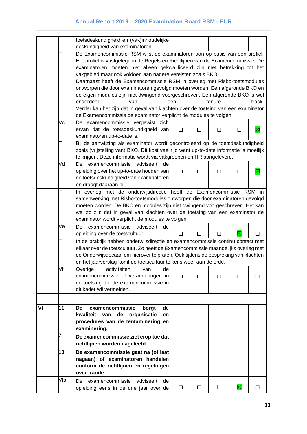| De Examencommissie RSM wijst de examinatoren aan op basis van een profiel.<br>Het profiel is vastgelegd in de Regels en Richtlijnen van de Examencommissie. De |  |  |  |  |  |  |  |
|----------------------------------------------------------------------------------------------------------------------------------------------------------------|--|--|--|--|--|--|--|
|                                                                                                                                                                |  |  |  |  |  |  |  |
|                                                                                                                                                                |  |  |  |  |  |  |  |
|                                                                                                                                                                |  |  |  |  |  |  |  |
|                                                                                                                                                                |  |  |  |  |  |  |  |
| examinatoren moeten niet alleen gekwalificeerd zijn met betrekking tot het<br>vakgebied maar ook voldoen aan nadere vereisten zoals BKO.                       |  |  |  |  |  |  |  |
|                                                                                                                                                                |  |  |  |  |  |  |  |
| Daarnaast heeft de Examencommissie RSM in overleg met Risbo-toetsmodules                                                                                       |  |  |  |  |  |  |  |
| ontworpen die door examinatoren gevolgd moeten worden. Een afgeronde BKO en                                                                                    |  |  |  |  |  |  |  |
| de eigen modules zijn niet dwingend voorgeschreven. Een afgeronde BKO is wel                                                                                   |  |  |  |  |  |  |  |
| track.                                                                                                                                                         |  |  |  |  |  |  |  |
| Verder kan het zijn dat in geval van klachten over de toetsing van een examinator                                                                              |  |  |  |  |  |  |  |
|                                                                                                                                                                |  |  |  |  |  |  |  |
|                                                                                                                                                                |  |  |  |  |  |  |  |
|                                                                                                                                                                |  |  |  |  |  |  |  |
|                                                                                                                                                                |  |  |  |  |  |  |  |
|                                                                                                                                                                |  |  |  |  |  |  |  |
| Bij de aanwijzing als examinator wordt gecontroleerd op de toetsdeskundigheid                                                                                  |  |  |  |  |  |  |  |
| zoals (vrijstelling van) BKO. Dit kost veel tijd want up-to-date informatie is moeilijk                                                                        |  |  |  |  |  |  |  |
|                                                                                                                                                                |  |  |  |  |  |  |  |
|                                                                                                                                                                |  |  |  |  |  |  |  |
|                                                                                                                                                                |  |  |  |  |  |  |  |
|                                                                                                                                                                |  |  |  |  |  |  |  |
|                                                                                                                                                                |  |  |  |  |  |  |  |
| In overleg met de onderwijsdirectie heeft de Examencommissie RSM in                                                                                            |  |  |  |  |  |  |  |
| samenwerking met Risbo-toetsmodules ontworpen die door examinatoren gevolgd                                                                                    |  |  |  |  |  |  |  |
| moeten worden. De BKO en modules zijn niet dwingend voorgeschreven. Het kan                                                                                    |  |  |  |  |  |  |  |
| wel zo zijn dat in geval van klachten over de toetsing van een examinator de                                                                                   |  |  |  |  |  |  |  |
|                                                                                                                                                                |  |  |  |  |  |  |  |
|                                                                                                                                                                |  |  |  |  |  |  |  |
| □                                                                                                                                                              |  |  |  |  |  |  |  |
| In de praktijk hebben onderwijsdirectie en examencommissie continu contact met                                                                                 |  |  |  |  |  |  |  |
| elkaar over de toetscultuur. Zo heeft de Examencommissie maandelijks overleg met                                                                               |  |  |  |  |  |  |  |
| de Onderwijsdecaan om hierover te praten. Ook tijdens de bespreking van klachten                                                                               |  |  |  |  |  |  |  |
|                                                                                                                                                                |  |  |  |  |  |  |  |
|                                                                                                                                                                |  |  |  |  |  |  |  |
| □                                                                                                                                                              |  |  |  |  |  |  |  |
|                                                                                                                                                                |  |  |  |  |  |  |  |
|                                                                                                                                                                |  |  |  |  |  |  |  |
|                                                                                                                                                                |  |  |  |  |  |  |  |
|                                                                                                                                                                |  |  |  |  |  |  |  |
|                                                                                                                                                                |  |  |  |  |  |  |  |
|                                                                                                                                                                |  |  |  |  |  |  |  |
|                                                                                                                                                                |  |  |  |  |  |  |  |
|                                                                                                                                                                |  |  |  |  |  |  |  |
|                                                                                                                                                                |  |  |  |  |  |  |  |
|                                                                                                                                                                |  |  |  |  |  |  |  |
|                                                                                                                                                                |  |  |  |  |  |  |  |
|                                                                                                                                                                |  |  |  |  |  |  |  |
|                                                                                                                                                                |  |  |  |  |  |  |  |
|                                                                                                                                                                |  |  |  |  |  |  |  |
|                                                                                                                                                                |  |  |  |  |  |  |  |
|                                                                                                                                                                |  |  |  |  |  |  |  |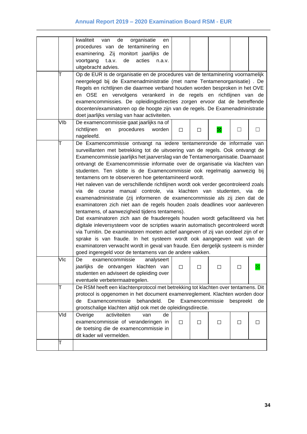|     | kwaliteit<br>organisatie<br>de<br>van                                              |                    |   |   |           |         |  |
|-----|------------------------------------------------------------------------------------|--------------------|---|---|-----------|---------|--|
|     | en                                                                                 |                    |   |   |           |         |  |
|     | procedures van de tentaminering en                                                 |                    |   |   |           |         |  |
|     | examinering. Zij monitort jaarlijks de                                             |                    |   |   |           |         |  |
|     | voortgang<br>t.a.v.<br>de<br>acties<br>n.a.v.                                      |                    |   |   |           |         |  |
|     | uitgebracht advies.                                                                |                    |   |   |           |         |  |
|     | Op de EUR is de organisatie en de procedures van de tentaminering voornamelijk     |                    |   |   |           |         |  |
|     | neergelegd bij de Examenadministratie (met name Tentamenorganisatie). De           |                    |   |   |           |         |  |
|     | Regels en richtlijnen die daarmee verband houden worden besproken in het OVE       |                    |   |   |           |         |  |
|     | en OSE en vervolgens verankerd in de regels en richtlijnen van de                  |                    |   |   |           |         |  |
|     | examencommissies. De opleidingsdirecties zorgen ervoor dat de betreffende          |                    |   |   |           |         |  |
|     | docenten/examinatoren op de hoogte zijn van de regels. De Examenadministratie      |                    |   |   |           |         |  |
|     | doet jaarlijks verslag van haar activiteiten.                                      |                    |   |   |           |         |  |
| VIb | De examencommissie gaat jaarlijks na of                                            |                    |   |   |           |         |  |
|     | richtlijnen<br>procedures<br>en<br>worden                                          | П                  | П | 図 | □         | $\Box$  |  |
|     | nageleefd.                                                                         |                    |   |   |           |         |  |
|     | De Examencommissie ontvangt na iedere tentamenronde de informatie van              |                    |   |   |           |         |  |
|     | surveillanten met betrekking tot de uitvoering van de regels. Ook ontvangt de      |                    |   |   |           |         |  |
|     | Examencommissie jaarlijks het jaarverslag van de Tentamenorganisatie. Daarnaast    |                    |   |   |           |         |  |
|     | ontvangt de Examencommissie informatie over de organisatie via klachten van        |                    |   |   |           |         |  |
|     | studenten. Ten slotte is de Examencommissie ook regelmatig aanwezig bij            |                    |   |   |           |         |  |
|     | tentamens om te observeren hoe getentamineerd wordt.                               |                    |   |   |           |         |  |
|     | Het naleven van de verschillende richtlijnen wordt ook verder gecontroleerd zoals  |                    |   |   |           |         |  |
|     | de course manual controle, via klachten van studenten, via de<br>via               |                    |   |   |           |         |  |
|     | examenadministratie (zij informeren de examencommissie als zij zien dat de         |                    |   |   |           |         |  |
|     | examinatoren zich niet aan de regels houden zoals deadlines voor aanleveren        |                    |   |   |           |         |  |
|     | tentamens, of aanwezigheid tijdens tentamens).                                     |                    |   |   |           |         |  |
|     | Dat examinatoren zich aan de frauderegels houden wordt gefaciliteerd via het       |                    |   |   |           |         |  |
|     | digitale inleversysteem voor de scripties waarin automatisch gecontroleerd wordt   |                    |   |   |           |         |  |
|     | via Turnitin. De examinatoren moeten actief aangeven of zij van oordeel zijn of er |                    |   |   |           |         |  |
|     | sprake is van fraude. In het systeem wordt ook aangegeven wat van de               |                    |   |   |           |         |  |
|     | examinatoren verwacht wordt in geval van fraude. Een dergelijk systeem is minder   |                    |   |   |           |         |  |
|     | goed ingeregeld voor de tentamens van de andere vakken.                            |                    |   |   |           |         |  |
| VIc | De<br>examencommissie<br>analyseert                                                |                    |   |   |           |         |  |
|     | jaarlijks de ontvangen klachten van                                                | $\Box$             | ப |   | ⊔         |         |  |
|     | studenten en adviseert de opleiding over                                           |                    |   |   |           |         |  |
|     | eventuele verbetermaatregelen.                                                     |                    |   |   |           |         |  |
| Т   | De RSM heeft een klachtenprotocol met betrekking tot klachten over tentamens. Dit  |                    |   |   |           |         |  |
|     | protocol is opgenomen in het document examenreglement. Klachten worden door        |                    |   |   |           |         |  |
|     | behandeld.<br>Examencommissie<br>de                                                | De Examencommissie |   |   | bespreekt | de      |  |
|     | grootschalige klachten altijd ook met de opleidingsdirectie.                       |                    |   |   |           |         |  |
| Vld | Overige<br>activiteiten<br>de<br>van                                               |                    |   |   |           |         |  |
|     | examencommissie of veranderingen in                                                | П                  | П | П | П         | $\perp$ |  |
|     | de toetsing die de examencommissie in                                              |                    |   |   |           |         |  |
|     | dit kader wil vermelden.                                                           |                    |   |   |           |         |  |
| T   |                                                                                    |                    |   |   |           |         |  |
|     |                                                                                    |                    |   |   |           |         |  |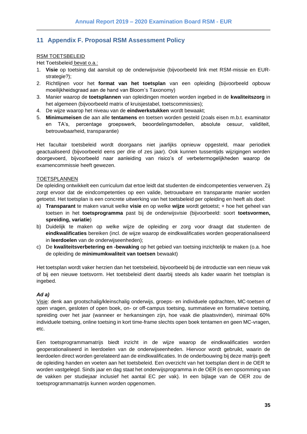## <span id="page-34-0"></span>**11 Appendix F. Proposal RSM Assessment Policy**

#### RSM TOETSBELEID

Het Toetsbeleid bevat o.a.:

- 1. **Visie** op toetsing dat aansluit op de onderwijsvisie (bijvoorbeeld link met RSM-missie en EURstrategie?);
- 2. Richtlijnen voor het **format van het toetsplan** van een opleiding (bijvoorbeeld opbouw moeilijkheidsgraad aan de hand van Bloom's Taxonomy)
- 3. Manier waarop de **toetsplannen** van opleidingen moeten worden ingebed in de **kwaliteitszorg** in het algemeen (bijvoorbeeld matrix of kruisjestabel, toetscommissies);
- 4. De wijze waarop het niveau van de **eindwerkstukken** wordt bewaakt;
- 5. **Minimumeisen** die aan alle **tentamens** en toetsen worden gesteld (zoals eisen m.b.t. examinator en TA's, percentage groepswerk, beoordelingsmodellen, absolute cesuur, validiteit, betrouwbaarheid, transparantie)

Het facultair toetsbeleid wordt doorgaans niet jaarlijks opnieuw opgesteld, maar periodiek geactualiseerd (bijvoorbeeld eens per drie of zes jaar). Ook kunnen tussentijds wijzigingen worden doorgevoerd, bijvoorbeeld naar aanleiding van risico's of verbetermogelijkheden waarop de examencommissie heeft gewezen.

#### **TOETSPLANNEN**

De opleiding ontwikkelt een curriculum dat ertoe leidt dat studenten de eindcompetenties verwerven. Zij zorgt ervoor dat de eindcompetenties op een valide, betrouwbare en transparante manier worden getoetst. Het toetsplan is een concrete uitwerking van het toetsbeleid per opleiding en heeft als doel:

- a) **Transparant** te maken vanuit welke **visie** en op welke **wijze** wordt getoetst; + hoe het geheel van toetsen in het **toetsprogramma** past bij de onderwijsvisie (bijvoorbeeld: soort **toetsvormen, spreiding, variatie**)
- b) Duidelijk te maken op welke wijze de opleiding er zorg voor draagt dat studenten de **eindkwalificaties** bereiken (incl. de wijze waarop de eindkwalificaties worden geoperationaliseerd in **leerdoelen** van de onderwijseenheden);
- c) De **kwaliteitsverbetering en -bewaking** op het gebied van toetsing inzichtelijk te maken (o.a. hoe de opleiding de **minimumkwaliteit van toetsen** bewaakt)

Het toetsplan wordt vaker herzien dan het toetsbeleid, bijvoorbeeld bij de introductie van een nieuw vak of bij een nieuwe toetsvorm. Het toetsbeleid dient daarbij steeds als kader waarin het toetsplan is ingebed.

#### *Ad a)*

Visie: denk aan grootschalig/kleinschalig onderwijs, groeps- en individuele opdrachten, MC-toetsen of open vragen, gesloten of open boek, on- or off-campus toetsing, summatieve en formatieve toetsing, spreiding over het jaar (wanneer er herkansingen zijn, hoe vaak die plaatsvinden), minimaal 60% individuele toetsing, online toetsing in kort time-frame slechts open boek tentamen en geen MC-vragen, etc.

Een toetsprogrammamatrijs biedt inzicht in de wijze waarop de eindkwalificaties worden geoperationaliseerd in leerdoelen van de onderwijseenheden. Hiervoor wordt gebruikt, waarin de leerdoelen direct worden gerelateerd aan de eindkwalificaties. In de onderbouwing bij deze matrijs geeft de opleiding handen en voeten aan het toetsbeleid. Een overzicht van het toetsplan dient in de OER te worden vastgelegd. Sinds jaar en dag staat het onderwijsprogramma in de OER (is een opsomming van de vakken per studiejaar inclusief het aantal EC per vak). In een bijlage van de OER zou de toetsprogrammamatrijs kunnen worden opgenomen.